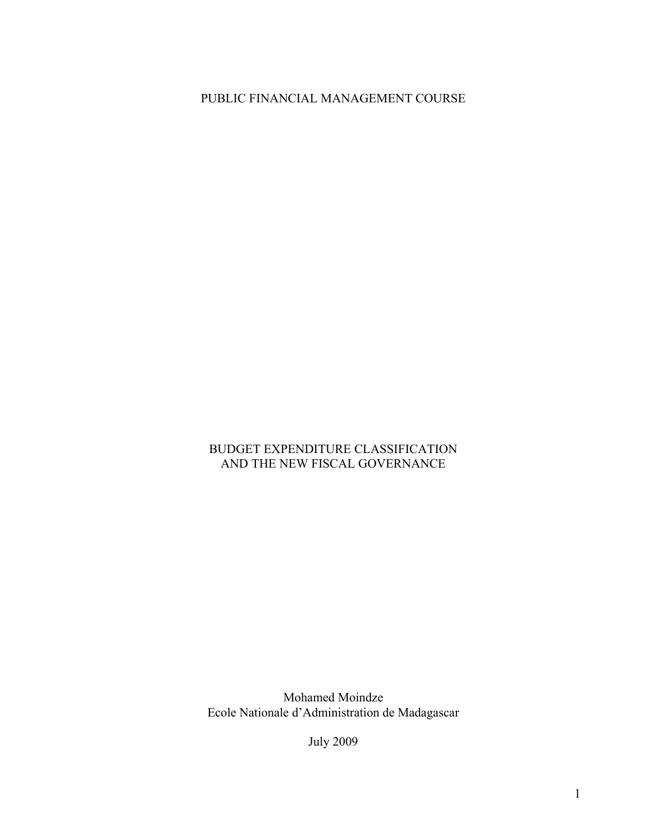# PUBLIC FINANCIAL MANAGEMENT COURSE

# BUDGET EXPENDITURE CLASSIFICATION AND THE NEW FISCAL GOVERNANCE

Mohamed Moindze Ecole Nationale d'Administration de Madagascar

July 2009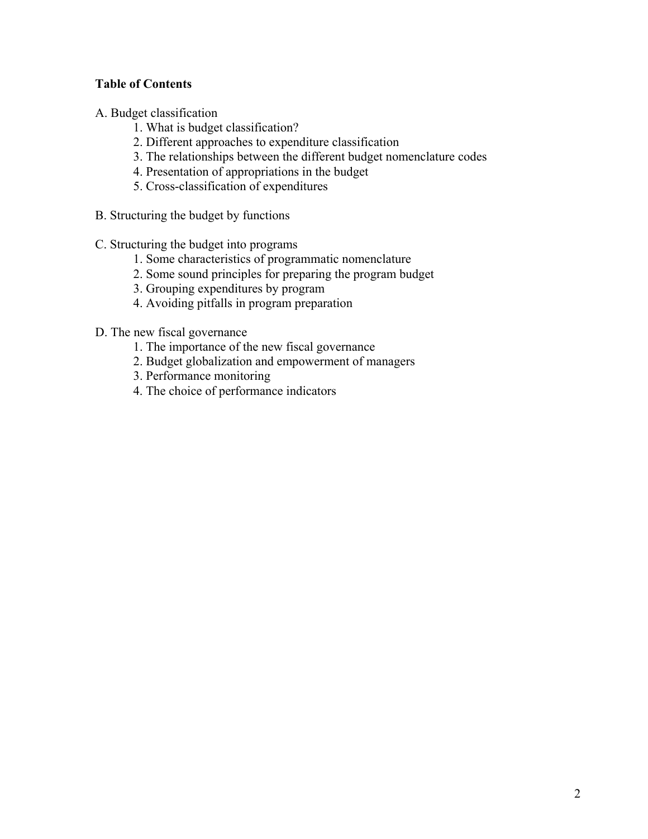# **Table of Contents**

- A. Budget classification
	- 1. What is budget classification?
	- 2. Different approaches to expenditure classification
	- 3. The relationships between the different budget nomenclature codes
	- 4. Presentation of appropriations in the budget
	- 5. Cross-classification of expenditures
- B. Structuring the budget by functions
- C. Structuring the budget into programs
	- 1. Some characteristics of programmatic nomenclature
	- 2. Some sound principles for preparing the program budget
	- 3. Grouping expenditures by program
	- 4. Avoiding pitfalls in program preparation
- D. The new fiscal governance
	- 1. The importance of the new fiscal governance
	- 2. Budget globalization and empowerment of managers
	- 3. Performance monitoring
	- 4. The choice of performance indicators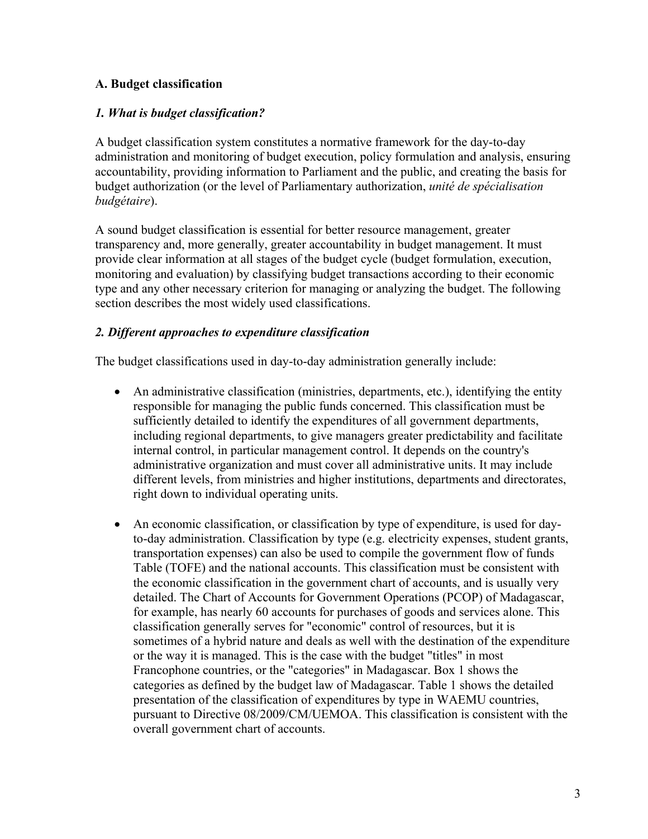# **A. Budget classification**

# *1. What is budget classification?*

A budget classification system constitutes a normative framework for the day-to-day administration and monitoring of budget execution, policy formulation and analysis, ensuring accountability, providing information to Parliament and the public, and creating the basis for budget authorization (or the level of Parliamentary authorization, *unité de spécialisation budgétaire*).

A sound budget classification is essential for better resource management, greater transparency and, more generally, greater accountability in budget management. It must provide clear information at all stages of the budget cycle (budget formulation, execution, monitoring and evaluation) by classifying budget transactions according to their economic type and any other necessary criterion for managing or analyzing the budget. The following section describes the most widely used classifications.

# *2. Different approaches to expenditure classification*

The budget classifications used in day-to-day administration generally include:

- An administrative classification (ministries, departments, etc.), identifying the entity responsible for managing the public funds concerned. This classification must be sufficiently detailed to identify the expenditures of all government departments, including regional departments, to give managers greater predictability and facilitate internal control, in particular management control. It depends on the country's administrative organization and must cover all administrative units. It may include different levels, from ministries and higher institutions, departments and directorates, right down to individual operating units.
- An economic classification, or classification by type of expenditure, is used for dayto-day administration. Classification by type (e.g. electricity expenses, student grants, transportation expenses) can also be used to compile the government flow of funds Table (TOFE) and the national accounts. This classification must be consistent with the economic classification in the government chart of accounts, and is usually very detailed. The Chart of Accounts for Government Operations (PCOP) of Madagascar, for example, has nearly 60 accounts for purchases of goods and services alone. This classification generally serves for "economic" control of resources, but it is sometimes of a hybrid nature and deals as well with the destination of the expenditure or the way it is managed. This is the case with the budget "titles" in most Francophone countries, or the "categories" in Madagascar. Box 1 shows the categories as defined by the budget law of Madagascar. Table 1 shows the detailed presentation of the classification of expenditures by type in WAEMU countries, pursuant to Directive 08/2009/CM/UEMOA. This classification is consistent with the overall government chart of accounts.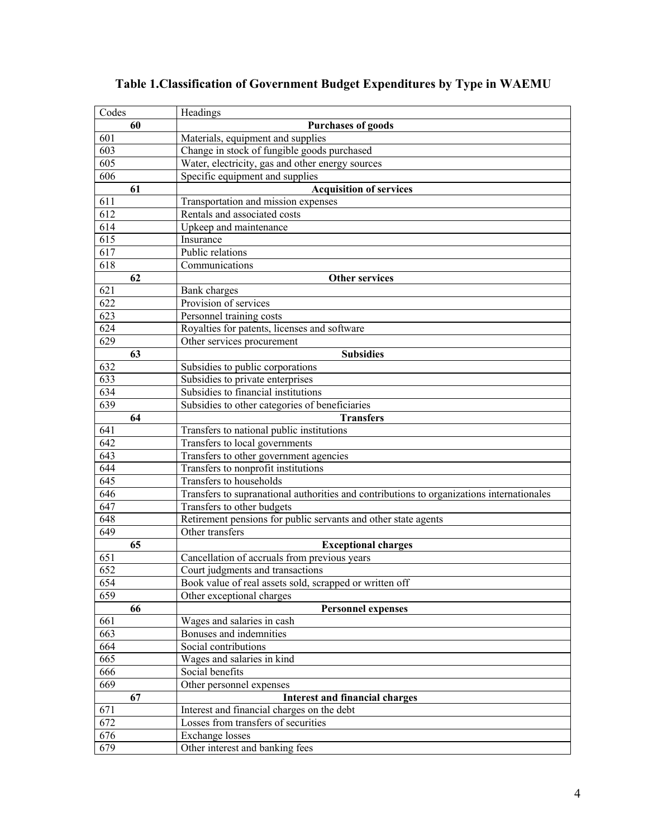| Codes | Headings                                                                                  |
|-------|-------------------------------------------------------------------------------------------|
| 60    | <b>Purchases of goods</b>                                                                 |
| 601   | Materials, equipment and supplies                                                         |
| 603   | Change in stock of fungible goods purchased                                               |
| 605   | Water, electricity, gas and other energy sources                                          |
| 606   | Specific equipment and supplies                                                           |
| 61    | <b>Acquisition of services</b>                                                            |
| 611   | Transportation and mission expenses                                                       |
| 612   | Rentals and associated costs                                                              |
| 614   | Upkeep and maintenance                                                                    |
| 615   | Insurance                                                                                 |
| 617   | Public relations                                                                          |
| 618   | Communications                                                                            |
| 62    | <b>Other services</b>                                                                     |
| 621   | Bank charges                                                                              |
| 622   | Provision of services                                                                     |
| 623   | Personnel training costs                                                                  |
| 624   | Royalties for patents, licenses and software                                              |
| 629   | Other services procurement                                                                |
| 63    | <b>Subsidies</b>                                                                          |
| 632   | Subsidies to public corporations                                                          |
| 633   | Subsidies to private enterprises                                                          |
| 634   | Subsidies to financial institutions                                                       |
| 639   | Subsidies to other categories of beneficiaries                                            |
| 64    | <b>Transfers</b>                                                                          |
| 641   | Transfers to national public institutions                                                 |
| 642   | Transfers to local governments                                                            |
| 643   | Transfers to other government agencies                                                    |
| 644   | Transfers to nonprofit institutions                                                       |
| 645   | Transfers to households                                                                   |
| 646   | Transfers to supranational authorities and contributions to organizations internationales |
| 647   | Transfers to other budgets                                                                |
| 648   | Retirement pensions for public servants and other state agents                            |
| 649   | Other transfers                                                                           |
| 65    | <b>Exceptional charges</b>                                                                |
| 651   | Cancellation of accruals from previous years                                              |
| 652   | Court judgments and transactions                                                          |
| 654   | Book value of real assets sold, scrapped or written off                                   |
| 659   | Other exceptional charges                                                                 |
| 66    | <b>Personnel expenses</b>                                                                 |
| 661   | Wages and salaries in cash                                                                |
| 663   | Bonuses and indemnities                                                                   |
| 664   | Social contributions                                                                      |
| 665   | Wages and salaries in kind                                                                |
| 666   | Social benefits                                                                           |
| 669   | Other personnel expenses                                                                  |
| 67    | <b>Interest and financial charges</b>                                                     |
| 671   | Interest and financial charges on the debt                                                |
| 672   | Losses from transfers of securities                                                       |
| 676   | <b>Exchange</b> losses                                                                    |
| 679   | Other interest and banking fees                                                           |

# **Table 1.Classification of Government Budget Expenditures by Type in WAEMU**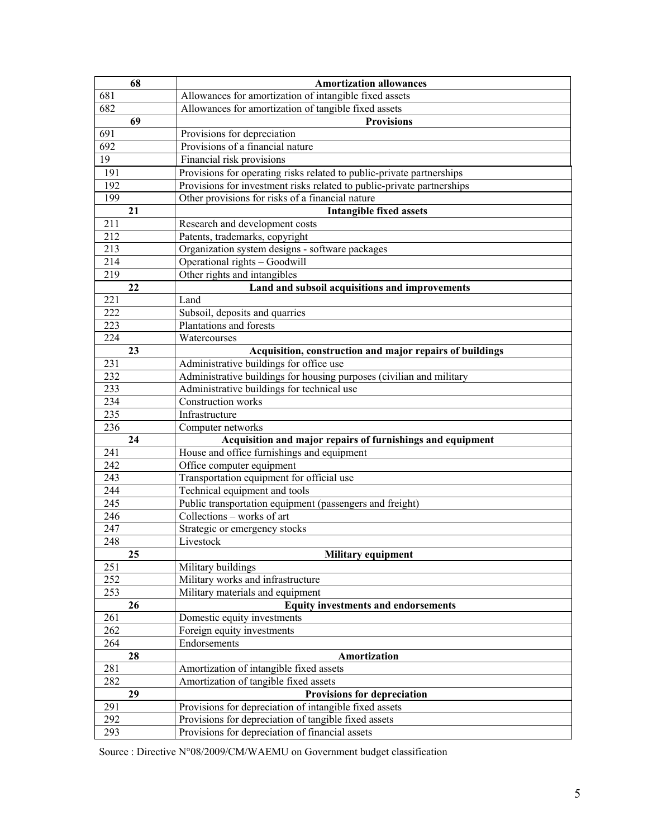| 68  | <b>Amortization allowances</b>                                         |  |  |  |  |  |
|-----|------------------------------------------------------------------------|--|--|--|--|--|
| 681 | Allowances for amortization of intangible fixed assets                 |  |  |  |  |  |
| 682 | Allowances for amortization of tangible fixed assets                   |  |  |  |  |  |
| 69  | <b>Provisions</b>                                                      |  |  |  |  |  |
| 691 | Provisions for depreciation                                            |  |  |  |  |  |
| 692 | Provisions of a financial nature                                       |  |  |  |  |  |
| 19  | Financial risk provisions                                              |  |  |  |  |  |
| 191 | Provisions for operating risks related to public-private partnerships  |  |  |  |  |  |
| 192 | Provisions for investment risks related to public-private partnerships |  |  |  |  |  |
| 199 | Other provisions for risks of a financial nature                       |  |  |  |  |  |
| 21  | <b>Intangible fixed assets</b>                                         |  |  |  |  |  |
| 211 | Research and development costs                                         |  |  |  |  |  |
| 212 | Patents, trademarks, copyright                                         |  |  |  |  |  |
| 213 | Organization system designs - software packages                        |  |  |  |  |  |
| 214 | Operational rights - Goodwill                                          |  |  |  |  |  |
| 219 | Other rights and intangibles                                           |  |  |  |  |  |
| 22  | Land and subsoil acquisitions and improvements                         |  |  |  |  |  |
| 221 | Land                                                                   |  |  |  |  |  |
| 222 | Subsoil, deposits and quarries                                         |  |  |  |  |  |
| 223 | Plantations and forests                                                |  |  |  |  |  |
| 224 | Watercourses                                                           |  |  |  |  |  |
| 23  | Acquisition, construction and major repairs of buildings               |  |  |  |  |  |
| 231 | Administrative buildings for office use                                |  |  |  |  |  |
| 232 | Administrative buildings for housing purposes (civilian and military   |  |  |  |  |  |
| 233 | Administrative buildings for technical use                             |  |  |  |  |  |
| 234 | Construction works                                                     |  |  |  |  |  |
| 235 | Infrastructure                                                         |  |  |  |  |  |
| 236 | Computer networks                                                      |  |  |  |  |  |
| 24  | Acquisition and major repairs of furnishings and equipment             |  |  |  |  |  |
| 241 | House and office furnishings and equipment                             |  |  |  |  |  |
| 242 | Office computer equipment                                              |  |  |  |  |  |
| 243 | Transportation equipment for official use                              |  |  |  |  |  |
| 244 | Technical equipment and tools                                          |  |  |  |  |  |
| 245 | Public transportation equipment (passengers and freight)               |  |  |  |  |  |
| 246 | Collections - works of art                                             |  |  |  |  |  |
| 247 | Strategic or emergency stocks                                          |  |  |  |  |  |
| 248 | Livestock                                                              |  |  |  |  |  |
| 25  | <b>Military equipment</b>                                              |  |  |  |  |  |
| 251 | Military buildings                                                     |  |  |  |  |  |
| 252 | Military works and infrastructure                                      |  |  |  |  |  |
| 253 | Military materials and equipment                                       |  |  |  |  |  |
| 26  | <b>Equity investments and endorsements</b>                             |  |  |  |  |  |
| 261 | Domestic equity investments                                            |  |  |  |  |  |
| 262 | Foreign equity investments                                             |  |  |  |  |  |
| 264 | Endorsements                                                           |  |  |  |  |  |
| 28  | Amortization                                                           |  |  |  |  |  |
| 281 | Amortization of intangible fixed assets                                |  |  |  |  |  |
| 282 | Amortization of tangible fixed assets                                  |  |  |  |  |  |
| 29  | Provisions for depreciation                                            |  |  |  |  |  |
| 291 | Provisions for depreciation of intangible fixed assets                 |  |  |  |  |  |
| 292 | Provisions for depreciation of tangible fixed assets                   |  |  |  |  |  |
| 293 | Provisions for depreciation of financial assets                        |  |  |  |  |  |

Source : Directive N°08/2009/CM/WAEMU on Government budget classification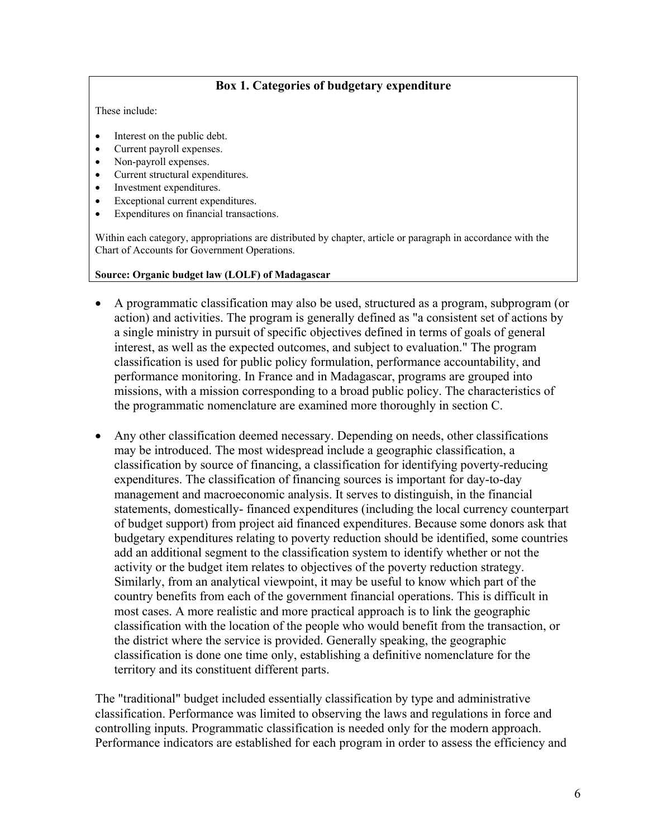# **Box 1. Categories of budgetary expenditure**

These include:

- Interest on the public debt.
- Current payroll expenses.
- Non-payroll expenses.
- Current structural expenditures.
- Investment expenditures.
- Exceptional current expenditures.
- Expenditures on financial transactions.

Within each category, appropriations are distributed by chapter, article or paragraph in accordance with the Chart of Accounts for Government Operations.

#### **Source: Organic budget law (LOLF) of Madagascar**

- A programmatic classification may also be used, structured as a program, subprogram (or action) and activities. The program is generally defined as "a consistent set of actions by a single ministry in pursuit of specific objectives defined in terms of goals of general interest, as well as the expected outcomes, and subject to evaluation." The program classification is used for public policy formulation, performance accountability, and performance monitoring. In France and in Madagascar, programs are grouped into missions, with a mission corresponding to a broad public policy. The characteristics of the programmatic nomenclature are examined more thoroughly in section C.
- Any other classification deemed necessary. Depending on needs, other classifications may be introduced. The most widespread include a geographic classification, a classification by source of financing, a classification for identifying poverty-reducing expenditures. The classification of financing sources is important for day-to-day management and macroeconomic analysis. It serves to distinguish, in the financial statements, domestically- financed expenditures (including the local currency counterpart of budget support) from project aid financed expenditures. Because some donors ask that budgetary expenditures relating to poverty reduction should be identified, some countries add an additional segment to the classification system to identify whether or not the activity or the budget item relates to objectives of the poverty reduction strategy. Similarly, from an analytical viewpoint, it may be useful to know which part of the country benefits from each of the government financial operations. This is difficult in most cases. A more realistic and more practical approach is to link the geographic classification with the location of the people who would benefit from the transaction, or the district where the service is provided. Generally speaking, the geographic classification is done one time only, establishing a definitive nomenclature for the territory and its constituent different parts.

The "traditional" budget included essentially classification by type and administrative classification. Performance was limited to observing the laws and regulations in force and controlling inputs. Programmatic classification is needed only for the modern approach. Performance indicators are established for each program in order to assess the efficiency and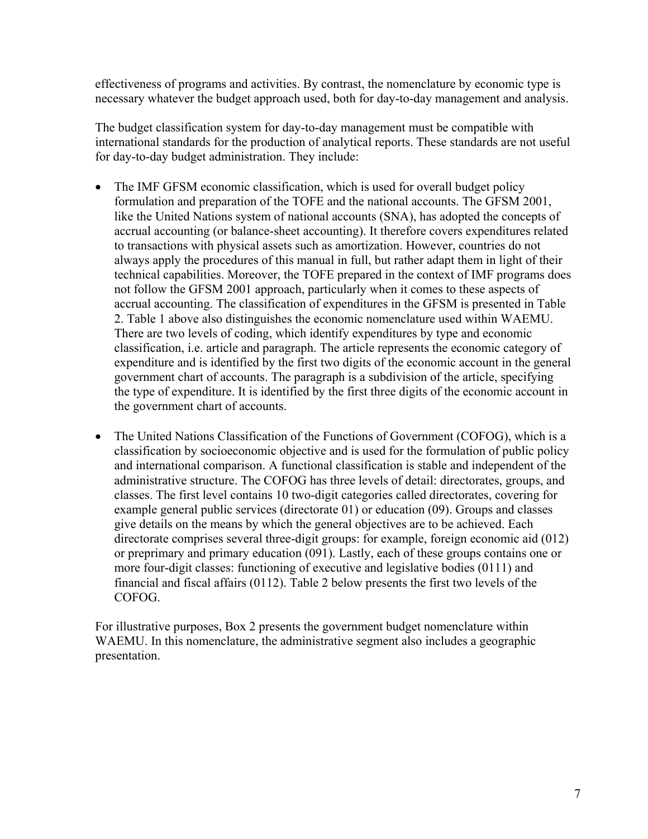effectiveness of programs and activities. By contrast, the nomenclature by economic type is necessary whatever the budget approach used, both for day-to-day management and analysis.

The budget classification system for day-to-day management must be compatible with international standards for the production of analytical reports. These standards are not useful for day-to-day budget administration. They include:

- The IMF GFSM economic classification, which is used for overall budget policy formulation and preparation of the TOFE and the national accounts. The GFSM 2001, like the United Nations system of national accounts (SNA), has adopted the concepts of accrual accounting (or balance-sheet accounting). It therefore covers expenditures related to transactions with physical assets such as amortization. However, countries do not always apply the procedures of this manual in full, but rather adapt them in light of their technical capabilities. Moreover, the TOFE prepared in the context of IMF programs does not follow the GFSM 2001 approach, particularly when it comes to these aspects of accrual accounting. The classification of expenditures in the GFSM is presented in Table 2. Table 1 above also distinguishes the economic nomenclature used within WAEMU. There are two levels of coding, which identify expenditures by type and economic classification, i.e. article and paragraph. The article represents the economic category of expenditure and is identified by the first two digits of the economic account in the general government chart of accounts. The paragraph is a subdivision of the article, specifying the type of expenditure. It is identified by the first three digits of the economic account in the government chart of accounts.
- The United Nations Classification of the Functions of Government (COFOG), which is a classification by socioeconomic objective and is used for the formulation of public policy and international comparison. A functional classification is stable and independent of the administrative structure. The COFOG has three levels of detail: directorates, groups, and classes. The first level contains 10 two-digit categories called directorates, covering for example general public services (directorate 01) or education (09). Groups and classes give details on the means by which the general objectives are to be achieved. Each directorate comprises several three-digit groups: for example, foreign economic aid (012) or preprimary and primary education (091). Lastly, each of these groups contains one or more four-digit classes: functioning of executive and legislative bodies (0111) and financial and fiscal affairs (0112). Table 2 below presents the first two levels of the COFOG.

For illustrative purposes, Box 2 presents the government budget nomenclature within WAEMU. In this nomenclature, the administrative segment also includes a geographic presentation.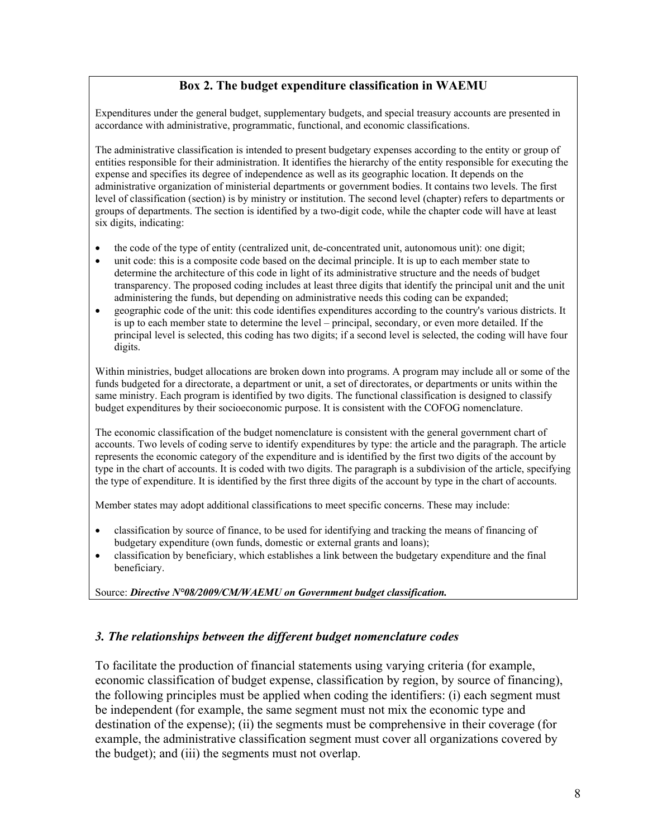# **Box 2. The budget expenditure classification in WAEMU**

Expenditures under the general budget, supplementary budgets, and special treasury accounts are presented in accordance with administrative, programmatic, functional, and economic classifications.

The administrative classification is intended to present budgetary expenses according to the entity or group of entities responsible for their administration. It identifies the hierarchy of the entity responsible for executing the expense and specifies its degree of independence as well as its geographic location. It depends on the administrative organization of ministerial departments or government bodies. It contains two levels. The first level of classification (section) is by ministry or institution. The second level (chapter) refers to departments or groups of departments. The section is identified by a two-digit code, while the chapter code will have at least six digits, indicating:

- the code of the type of entity (centralized unit, de-concentrated unit, autonomous unit): one digit;
- unit code: this is a composite code based on the decimal principle. It is up to each member state to determine the architecture of this code in light of its administrative structure and the needs of budget transparency. The proposed coding includes at least three digits that identify the principal unit and the unit administering the funds, but depending on administrative needs this coding can be expanded;
- geographic code of the unit: this code identifies expenditures according to the country's various districts. It is up to each member state to determine the level – principal, secondary, or even more detailed. If the principal level is selected, this coding has two digits; if a second level is selected, the coding will have four digits.

Within ministries, budget allocations are broken down into programs. A program may include all or some of the funds budgeted for a directorate, a department or unit, a set of directorates, or departments or units within the same ministry. Each program is identified by two digits. The functional classification is designed to classify budget expenditures by their socioeconomic purpose. It is consistent with the COFOG nomenclature.

The economic classification of the budget nomenclature is consistent with the general government chart of accounts. Two levels of coding serve to identify expenditures by type: the article and the paragraph. The article represents the economic category of the expenditure and is identified by the first two digits of the account by type in the chart of accounts. It is coded with two digits. The paragraph is a subdivision of the article, specifying the type of expenditure. It is identified by the first three digits of the account by type in the chart of accounts.

Member states may adopt additional classifications to meet specific concerns. These may include:

- classification by source of finance, to be used for identifying and tracking the means of financing of budgetary expenditure (own funds, domestic or external grants and loans);
- classification by beneficiary, which establishes a link between the budgetary expenditure and the final beneficiary.

Source: *Directive N°08/2009/CM/WAEMU on Government budget classification.*

### *3. The relationships between the different budget nomenclature codes*

To facilitate the production of financial statements using varying criteria (for example, economic classification of budget expense, classification by region, by source of financing), the following principles must be applied when coding the identifiers: (i) each segment must be independent (for example, the same segment must not mix the economic type and destination of the expense); (ii) the segments must be comprehensive in their coverage (for example, the administrative classification segment must cover all organizations covered by the budget); and (iii) the segments must not overlap.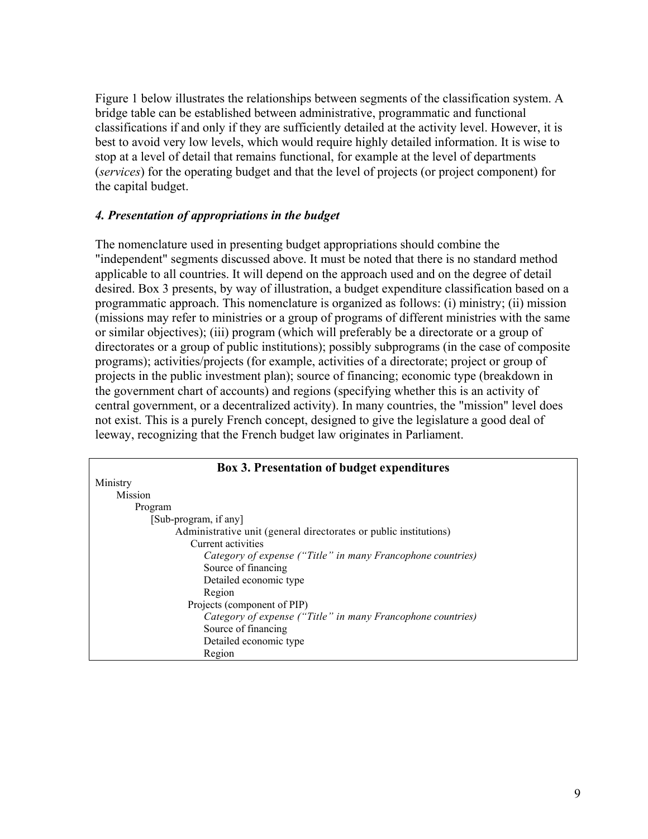Figure 1 below illustrates the relationships between segments of the classification system. A bridge table can be established between administrative, programmatic and functional classifications if and only if they are sufficiently detailed at the activity level. However, it is best to avoid very low levels, which would require highly detailed information. It is wise to stop at a level of detail that remains functional, for example at the level of departments (*services*) for the operating budget and that the level of projects (or project component) for the capital budget.

### *4. Presentation of appropriations in the budget*

The nomenclature used in presenting budget appropriations should combine the "independent" segments discussed above. It must be noted that there is no standard method applicable to all countries. It will depend on the approach used and on the degree of detail desired. Box 3 presents, by way of illustration, a budget expenditure classification based on a programmatic approach. This nomenclature is organized as follows: (i) ministry; (ii) mission (missions may refer to ministries or a group of programs of different ministries with the same or similar objectives); (iii) program (which will preferably be a directorate or a group of directorates or a group of public institutions); possibly subprograms (in the case of composite programs); activities/projects (for example, activities of a directorate; project or group of projects in the public investment plan); source of financing; economic type (breakdown in the government chart of accounts) and regions (specifying whether this is an activity of central government, or a decentralized activity). In many countries, the "mission" level does not exist. This is a purely French concept, designed to give the legislature a good deal of leeway, recognizing that the French budget law originates in Parliament.

| <b>Box 3. Presentation of budget expenditures</b>                 |  |  |  |  |  |  |
|-------------------------------------------------------------------|--|--|--|--|--|--|
| Ministry                                                          |  |  |  |  |  |  |
| <b>Mission</b>                                                    |  |  |  |  |  |  |
| Program                                                           |  |  |  |  |  |  |
| [Sub-program, if any]                                             |  |  |  |  |  |  |
| Administrative unit (general directorates or public institutions) |  |  |  |  |  |  |
| Current activities                                                |  |  |  |  |  |  |
| Category of expense ("Title" in many Francophone countries)       |  |  |  |  |  |  |
| Source of financing                                               |  |  |  |  |  |  |
| Detailed economic type                                            |  |  |  |  |  |  |
| Region                                                            |  |  |  |  |  |  |
| Projects (component of PIP)                                       |  |  |  |  |  |  |
| Category of expense ("Title" in many Francophone countries)       |  |  |  |  |  |  |
| Source of financing                                               |  |  |  |  |  |  |
| Detailed economic type                                            |  |  |  |  |  |  |
| Region                                                            |  |  |  |  |  |  |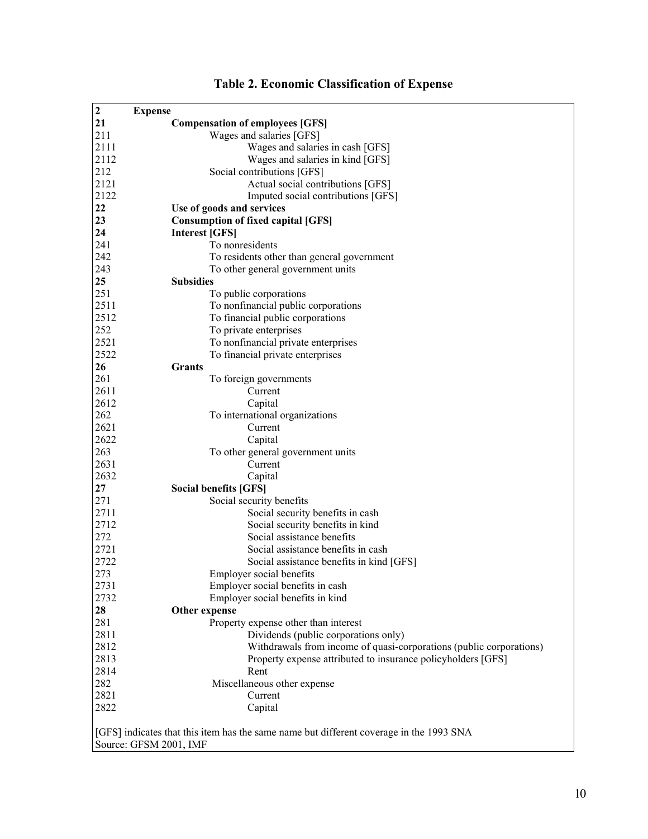| $\boldsymbol{2}$ | <b>Expense</b>                                                                          |
|------------------|-----------------------------------------------------------------------------------------|
| 21               | <b>Compensation of employees [GFS]</b>                                                  |
| 211              | Wages and salaries [GFS]                                                                |
| 2111             | Wages and salaries in cash [GFS]                                                        |
| 2112             | Wages and salaries in kind [GFS]                                                        |
| 212              | Social contributions [GFS]                                                              |
| 2121             | Actual social contributions [GFS]                                                       |
| 2122             | Imputed social contributions [GFS]                                                      |
| 22               | Use of goods and services                                                               |
| 23               | <b>Consumption of fixed capital [GFS]</b>                                               |
| 24               | <b>Interest [GFS]</b>                                                                   |
| 241              | To nonresidents                                                                         |
| 242              | To residents other than general government                                              |
| 243              | To other general government units                                                       |
| 25               | <b>Subsidies</b>                                                                        |
| 251              | To public corporations                                                                  |
| 2511             | To nonfinancial public corporations                                                     |
| 2512             | To financial public corporations                                                        |
| 252              | To private enterprises                                                                  |
| 2521             | To nonfinancial private enterprises                                                     |
| 2522             | To financial private enterprises                                                        |
| 26               | <b>Grants</b>                                                                           |
| 261              | To foreign governments                                                                  |
| 2611<br>2612     | Current                                                                                 |
|                  | Capital                                                                                 |
| 262<br>2621      | To international organizations<br>Current                                               |
| 2622             |                                                                                         |
| 263              | Capital                                                                                 |
| 2631             | To other general government units<br>Current                                            |
| 2632             | Capital                                                                                 |
| 27               | <b>Social benefits [GFS]</b>                                                            |
| 271              | Social security benefits                                                                |
| 2711             | Social security benefits in cash                                                        |
| 2712             | Social security benefits in kind                                                        |
| 272              | Social assistance benefits                                                              |
| 2721             | Social assistance benefits in cash                                                      |
| 2722             | Social assistance benefits in kind [GFS]                                                |
| 273              | <b>Employer social benefits</b>                                                         |
| 2731             | Employer social benefits in cash                                                        |
| 2732             | Employer social benefits in kind                                                        |
| 28               | Other expense                                                                           |
| 281              | Property expense other than interest                                                    |
| 2811             | Dividends (public corporations only)                                                    |
| 2812             | Withdrawals from income of quasi-corporations (public corporations)                     |
| 2813             | Property expense attributed to insurance policyholders [GFS]                            |
| 2814             | Rent                                                                                    |
| 282              | Miscellaneous other expense                                                             |
| 2821             | Current                                                                                 |
| 2822             | Capital                                                                                 |
|                  |                                                                                         |
|                  | [GFS] indicates that this item has the same name but different coverage in the 1993 SNA |
|                  | Source: GFSM 2001, IMF                                                                  |

# **Table 2. Economic Classification of Expense**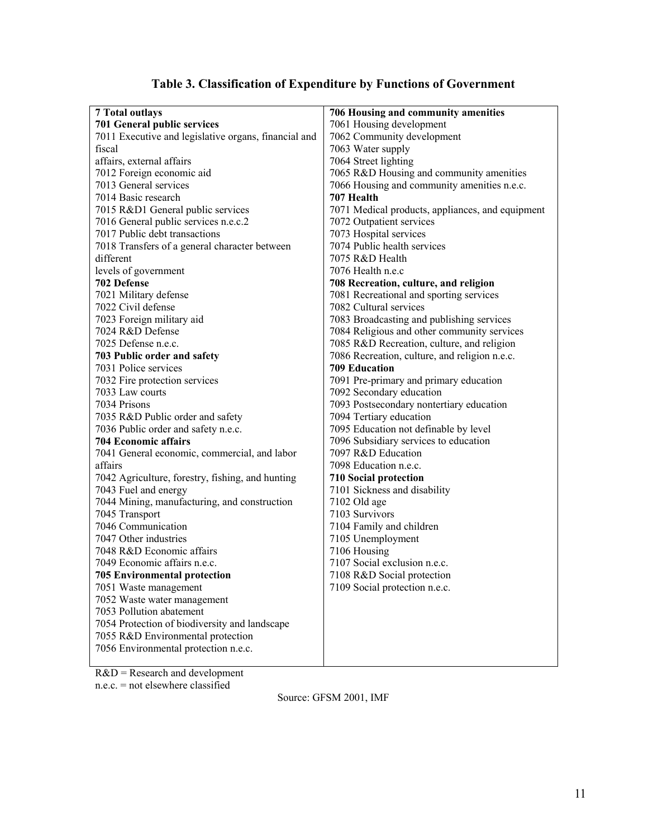| 7 Total outlays                                      | 706 Housing and community amenities              |
|------------------------------------------------------|--------------------------------------------------|
| <b>701 General public services</b>                   | 7061 Housing development                         |
| 7011 Executive and legislative organs, financial and | 7062 Community development                       |
| fiscal                                               | 7063 Water supply                                |
| affairs, external affairs                            | 7064 Street lighting                             |
| 7012 Foreign economic aid                            | 7065 R&D Housing and community amenities         |
| 7013 General services                                | 7066 Housing and community amenities n.e.c.      |
| 7014 Basic research                                  | 707 Health                                       |
| 7015 R&D1 General public services                    | 7071 Medical products, appliances, and equipment |
| 7016 General public services n.e.c.2                 | 7072 Outpatient services                         |
| 7017 Public debt transactions                        | 7073 Hospital services                           |
| 7018 Transfers of a general character between        | 7074 Public health services                      |
| different                                            | 7075 R&D Health                                  |
| levels of government                                 | 7076 Health n.e.c                                |
| 702 Defense                                          | 708 Recreation, culture, and religion            |
| 7021 Military defense                                | 7081 Recreational and sporting services          |
| 7022 Civil defense                                   | 7082 Cultural services                           |
| 7023 Foreign military aid                            | 7083 Broadcasting and publishing services        |
| 7024 R&D Defense                                     | 7084 Religious and other community services      |
| 7025 Defense n.e.c.                                  | 7085 R&D Recreation, culture, and religion       |
| 703 Public order and safety                          | 7086 Recreation, culture, and religion n.e.c.    |
| 7031 Police services                                 | <b>709 Education</b>                             |
| 7032 Fire protection services                        | 7091 Pre-primary and primary education           |
| 7033 Law courts                                      | 7092 Secondary education                         |
| 7034 Prisons                                         | 7093 Postsecondary nontertiary education         |
| 7035 R&D Public order and safety                     | 7094 Tertiary education                          |
| 7036 Public order and safety n.e.c.                  | 7095 Education not definable by level            |
| <b>704 Economic affairs</b>                          | 7096 Subsidiary services to education            |
| 7041 General economic, commercial, and labor         | 7097 R&D Education                               |
| affairs                                              | 7098 Education n.e.c.                            |
| 7042 Agriculture, forestry, fishing, and hunting     | <b>710 Social protection</b>                     |
| 7043 Fuel and energy                                 | 7101 Sickness and disability                     |
| 7044 Mining, manufacturing, and construction         | 7102 Old age                                     |
| 7045 Transport                                       | 7103 Survivors                                   |
| 7046 Communication                                   | 7104 Family and children                         |
| 7047 Other industries                                | 7105 Unemployment                                |
| 7048 R&D Economic affairs                            | 7106 Housing                                     |
| 7049 Economic affairs n.e.c.                         | 7107 Social exclusion n.e.c.                     |
| <b>705 Environmental protection</b>                  | 7108 R&D Social protection                       |
| 7051 Waste management                                | 7109 Social protection n.e.c.                    |
| 7052 Waste water management                          |                                                  |
| 7053 Pollution abatement                             |                                                  |
| 7054 Protection of biodiversity and landscape        |                                                  |
| 7055 R&D Environmental protection                    |                                                  |
| 7056 Environmental protection n.e.c.                 |                                                  |
|                                                      |                                                  |
|                                                      |                                                  |

# **Table 3. Classification of Expenditure by Functions of Government**

R&D = Research and development n.e.c. = not elsewhere classified

Source: GFSM 2001, IMF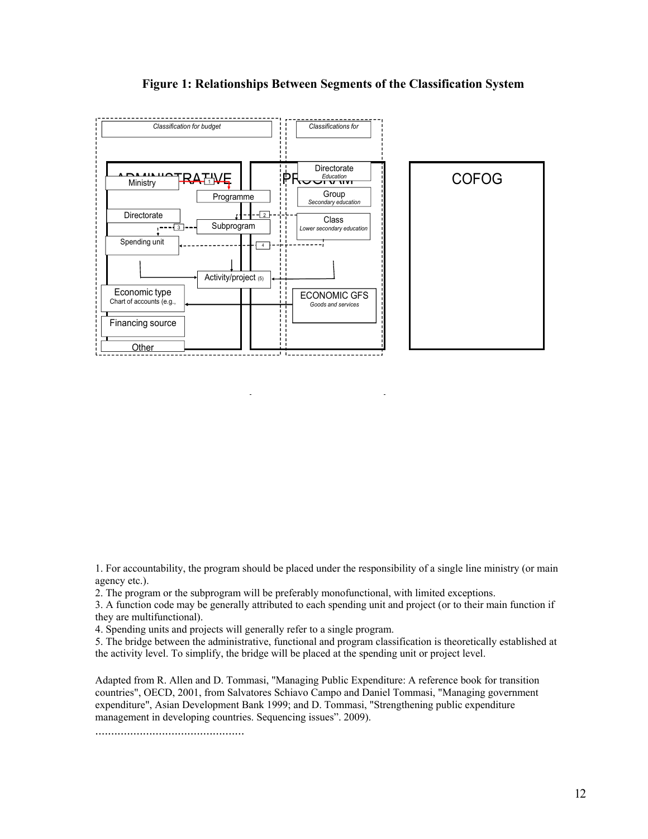

### **Figure 1: Relationships Between Segments of the Classification System**

1. For accountability, the program should be placed under the responsibility of a single line ministry (or main agency etc.).

2. The program or the subprogram will be preferably monofunctional, with limited exceptions.

3. A function code may be generally attributed to each spending unit and project (or to their main function if they are multifunctional).

4. Spending units and projects will generally refer to a single program.

5. The bridge between the administrative, functional and program classification is theoretically established at the activity level. To simplify, the bridge will be placed at the spending unit or project level.

Adapted from R. Allen and D. Tommasi, "Managing Public Expenditure: A reference book for transition countries", OECD, 2001, from Salvatores Schiavo Campo and Daniel Tommasi, "Managing government expenditure", Asian Development Bank 1999; and D. Tommasi, "Strengthening public expenditure management in developing countries. Sequencing issues". 2009).

...............................................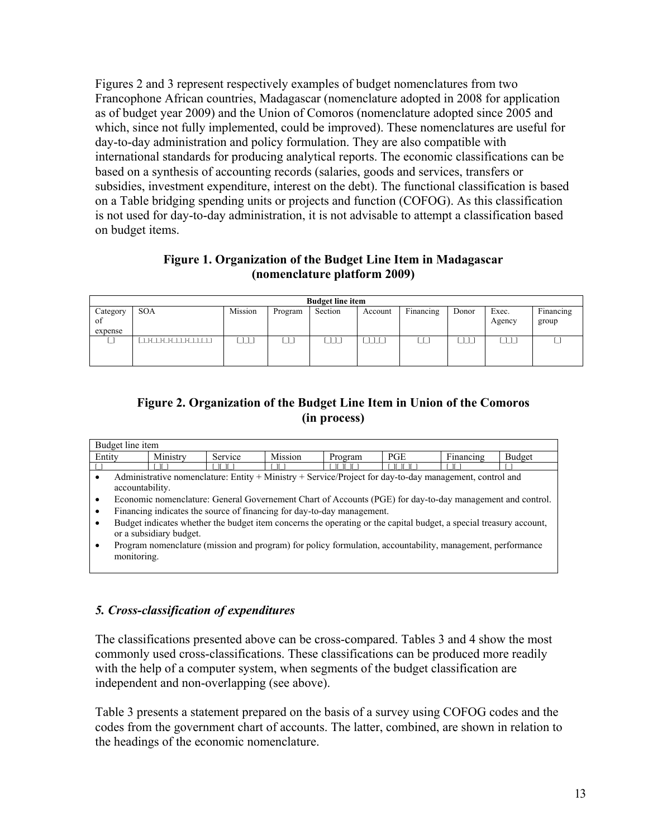Figures 2 and 3 represent respectively examples of budget nomenclatures from two Francophone African countries, Madagascar (nomenclature adopted in 2008 for application as of budget year 2009) and the Union of Comoros (nomenclature adopted since 2005 and which, since not fully implemented, could be improved). These nomenclatures are useful for day-to-day administration and policy formulation. They are also compatible with international standards for producing analytical reports. The economic classifications can be based on a synthesis of accounting records (salaries, goods and services, transfers or subsidies, investment expenditure, interest on the debt). The functional classification is based on a Table bridging spending units or projects and function (COFOG). As this classification is not used for day-to-day administration, it is not advisable to attempt a classification based on budget items.

### **Figure 1. Organization of the Budget Line Item in Madagascar (nomenclature platform 2009)**

|                           | <b>Budget line item</b>            |         |         |         |         |           |       |                 |                    |
|---------------------------|------------------------------------|---------|---------|---------|---------|-----------|-------|-----------------|--------------------|
| Category<br>of<br>expense | <b>SOA</b>                         | Mission | Program | Section | Account | Financing | Donor | Exec.<br>Agency | Financing<br>group |
|                           | 7 1 1 7 1 1 1 1 1 1 1 1<br>l I 1 1 |         | u.      |         |         |           |       |                 |                    |

# **Figure 2. Organization of the Budget Line Item in Union of the Comoros (in process)**

| Budget line item                                                                                        |                                                                                                           |          |         |         |                                                     |            |           |        |
|---------------------------------------------------------------------------------------------------------|-----------------------------------------------------------------------------------------------------------|----------|---------|---------|-----------------------------------------------------|------------|-----------|--------|
| Entity                                                                                                  |                                                                                                           | Ministry | Service | Mission | Program                                             | <b>PGE</b> | Financing | Budget |
|                                                                                                         |                                                                                                           |          |         | Ш.      | $\mathbb{I}$ $\mathbb{I}$ $\mathbb{I}$ $\mathbb{I}$ | .          | Т.        |        |
| Administrative nomenclature: Entity + Ministry + Service/Project for day-to-day management, control and |                                                                                                           |          |         |         |                                                     |            |           |        |
|                                                                                                         | accountability.                                                                                           |          |         |         |                                                     |            |           |        |
|                                                                                                         | Economic nomenclature: General Governement Chart of Accounts (PGE) for day-to-day management and control. |          |         |         |                                                     |            |           |        |

Financing indicates the source of financing for day-to-day management.

 Budget indicates whether the budget item concerns the operating or the capital budget, a special treasury account, or a subsidiary budget.

 Program nomenclature (mission and program) for policy formulation, accountability, management, performance monitoring.

# *5. Cross-classification of expenditures*

The classifications presented above can be cross-compared. Tables 3 and 4 show the most commonly used cross-classifications. These classifications can be produced more readily with the help of a computer system, when segments of the budget classification are independent and non-overlapping (see above).

Table 3 presents a statement prepared on the basis of a survey using COFOG codes and the codes from the government chart of accounts. The latter, combined, are shown in relation to the headings of the economic nomenclature.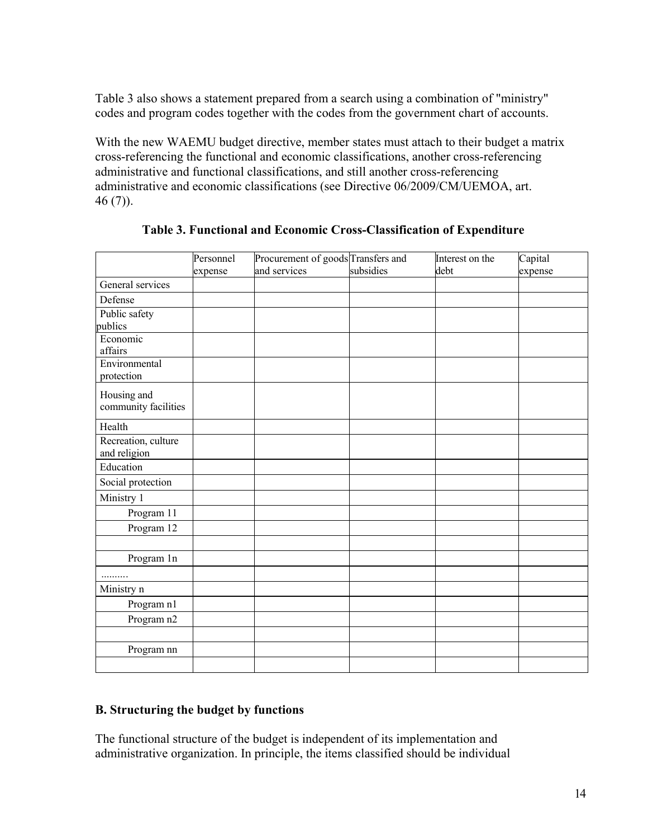Table 3 also shows a statement prepared from a search using a combination of "ministry" codes and program codes together with the codes from the government chart of accounts.

With the new WAEMU budget directive, member states must attach to their budget a matrix cross-referencing the functional and economic classifications, another cross-referencing administrative and functional classifications, and still another cross-referencing administrative and economic classifications (see Directive 06/2009/CM/UEMOA, art. 46 (7)).

|                      | Personnel | Procurement of goods Transfers and |           | Interest on the | Capital |
|----------------------|-----------|------------------------------------|-----------|-----------------|---------|
|                      | expense   | and services                       | subsidies | debt            | expense |
| General services     |           |                                    |           |                 |         |
| Defense              |           |                                    |           |                 |         |
| Public safety        |           |                                    |           |                 |         |
| publics              |           |                                    |           |                 |         |
| Economic             |           |                                    |           |                 |         |
| affairs              |           |                                    |           |                 |         |
| Environmental        |           |                                    |           |                 |         |
| protection           |           |                                    |           |                 |         |
| Housing and          |           |                                    |           |                 |         |
| community facilities |           |                                    |           |                 |         |
| Health               |           |                                    |           |                 |         |
| Recreation, culture  |           |                                    |           |                 |         |
| and religion         |           |                                    |           |                 |         |
| Education            |           |                                    |           |                 |         |
| Social protection    |           |                                    |           |                 |         |
| Ministry 1           |           |                                    |           |                 |         |
| Program 11           |           |                                    |           |                 |         |
| Program 12           |           |                                    |           |                 |         |
|                      |           |                                    |           |                 |         |
| Program 1n           |           |                                    |           |                 |         |
| .                    |           |                                    |           |                 |         |
| Ministry n           |           |                                    |           |                 |         |
| Program n1           |           |                                    |           |                 |         |
| Program n2           |           |                                    |           |                 |         |
|                      |           |                                    |           |                 |         |
| Program nn           |           |                                    |           |                 |         |
|                      |           |                                    |           |                 |         |

| Table 3. Functional and Economic Cross-Classification of Expenditure |  |  |  |  |
|----------------------------------------------------------------------|--|--|--|--|
|----------------------------------------------------------------------|--|--|--|--|

# **B. Structuring the budget by functions**

The functional structure of the budget is independent of its implementation and administrative organization. In principle, the items classified should be individual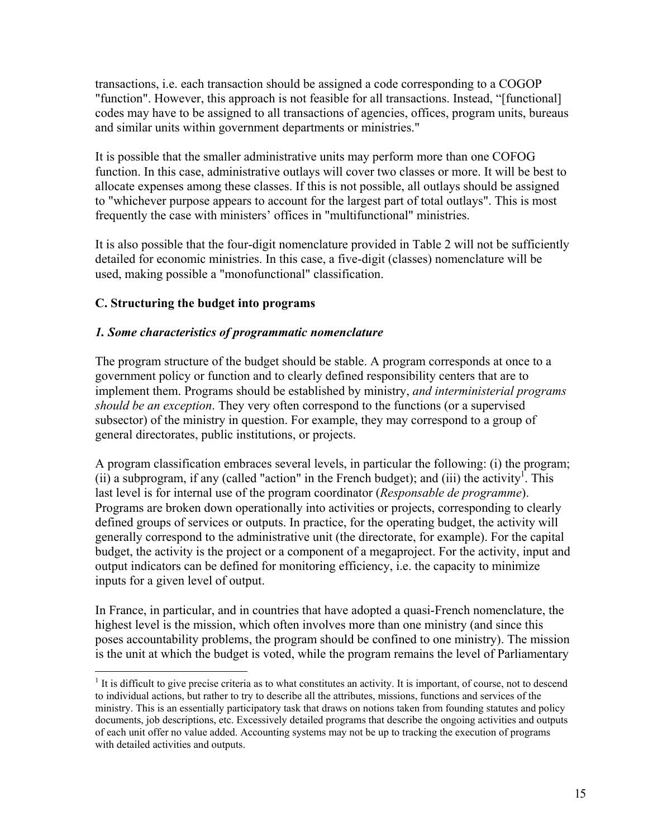transactions, i.e. each transaction should be assigned a code corresponding to a COGOP "function". However, this approach is not feasible for all transactions. Instead, "[functional] codes may have to be assigned to all transactions of agencies, offices, program units, bureaus and similar units within government departments or ministries."

It is possible that the smaller administrative units may perform more than one COFOG function. In this case, administrative outlays will cover two classes or more. It will be best to allocate expenses among these classes. If this is not possible, all outlays should be assigned to "whichever purpose appears to account for the largest part of total outlays". This is most frequently the case with ministers' offices in "multifunctional" ministries.

It is also possible that the four-digit nomenclature provided in Table 2 will not be sufficiently detailed for economic ministries. In this case, a five-digit (classes) nomenclature will be used, making possible a "monofunctional" classification.

# **C. Structuring the budget into programs**

 $\overline{a}$ 

# *1. Some characteristics of programmatic nomenclature*

The program structure of the budget should be stable. A program corresponds at once to a government policy or function and to clearly defined responsibility centers that are to implement them. Programs should be established by ministry, *and interministerial programs should be an exception*. They very often correspond to the functions (or a supervised subsector) of the ministry in question. For example, they may correspond to a group of general directorates, public institutions, or projects.

A program classification embraces several levels, in particular the following: (i) the program; (ii) a subprogram, if any (called "action" in the French budget); and (iii) the activity<sup>1</sup>. This last level is for internal use of the program coordinator (*Responsable de programme*). Programs are broken down operationally into activities or projects, corresponding to clearly defined groups of services or outputs. In practice, for the operating budget, the activity will generally correspond to the administrative unit (the directorate, for example). For the capital budget, the activity is the project or a component of a megaproject. For the activity, input and output indicators can be defined for monitoring efficiency, i.e. the capacity to minimize inputs for a given level of output.

In France, in particular, and in countries that have adopted a quasi-French nomenclature, the highest level is the mission, which often involves more than one ministry (and since this poses accountability problems, the program should be confined to one ministry). The mission is the unit at which the budget is voted, while the program remains the level of Parliamentary

 $<sup>1</sup>$  It is difficult to give precise criteria as to what constitutes an activity. It is important, of course, not to descend</sup> to individual actions, but rather to try to describe all the attributes, missions, functions and services of the ministry. This is an essentially participatory task that draws on notions taken from founding statutes and policy documents, job descriptions, etc. Excessively detailed programs that describe the ongoing activities and outputs of each unit offer no value added. Accounting systems may not be up to tracking the execution of programs with detailed activities and outputs.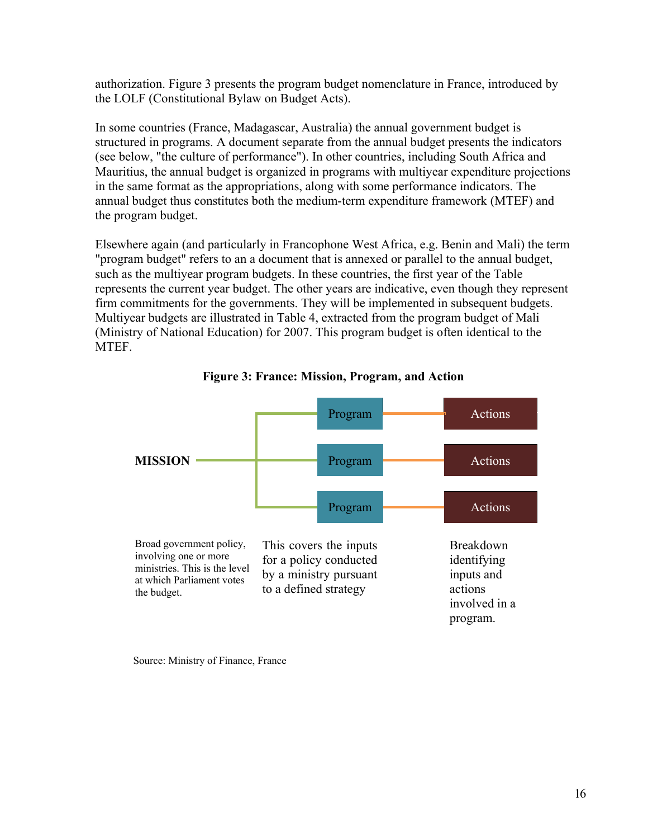authorization. Figure 3 presents the program budget nomenclature in France, introduced by the LOLF (Constitutional Bylaw on Budget Acts).

In some countries (France, Madagascar, Australia) the annual government budget is structured in programs. A document separate from the annual budget presents the indicators (see below, "the culture of performance"). In other countries, including South Africa and Mauritius, the annual budget is organized in programs with multiyear expenditure projections in the same format as the appropriations, along with some performance indicators. The annual budget thus constitutes both the medium-term expenditure framework (MTEF) and the program budget.

Elsewhere again (and particularly in Francophone West Africa, e.g. Benin and Mali) the term "program budget" refers to an a document that is annexed or parallel to the annual budget, such as the multiyear program budgets. In these countries, the first year of the Table represents the current year budget. The other years are indicative, even though they represent firm commitments for the governments. They will be implemented in subsequent budgets. Multiyear budgets are illustrated in Table 4, extracted from the program budget of Mali (Ministry of National Education) for 2007. This program budget is often identical to the **MTEF** 



**Figure 3: France: Mission, Program, and Action** 

Source: Ministry of Finance, France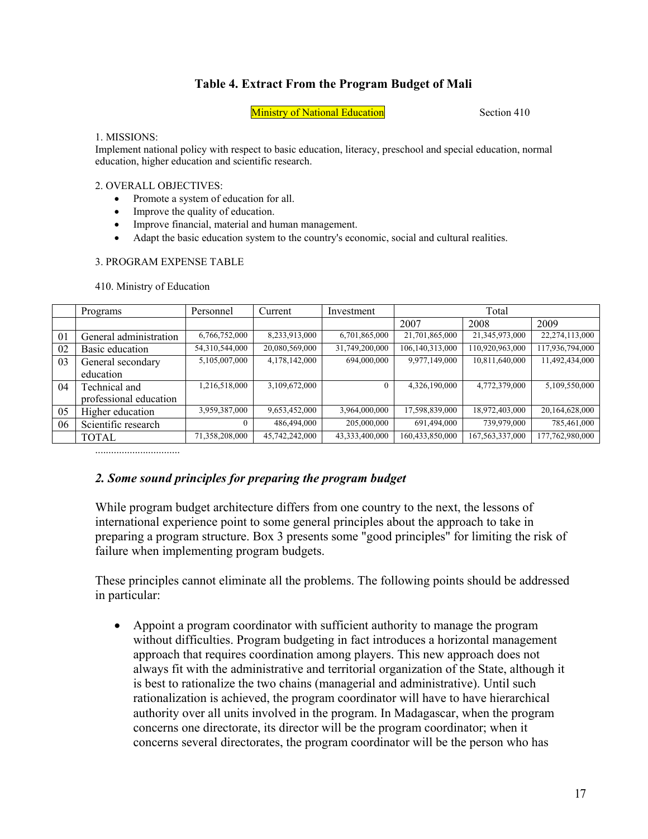# **Table 4. Extract From the Program Budget of Mali**

**Ministry of National Education** Section 410

#### 1. MISSIONS:

Implement national policy with respect to basic education, literacy, preschool and special education, normal education, higher education and scientific research.

#### 2. OVERALL OBJECTIVES:

- Promote a system of education for all.
- Improve the quality of education.
- Improve financial, material and human management.
- Adapt the basic education system to the country's economic, social and cultural realities.

#### 3. PROGRAM EXPENSE TABLE

|    | Programs               | Personnel      | Current        | Investment     |                 | Total           |                 |
|----|------------------------|----------------|----------------|----------------|-----------------|-----------------|-----------------|
|    |                        |                |                |                | 2007            | 2008            | 2009            |
| 01 | General administration | 6,766,752,000  | 8,233,913,000  | 6,701,865,000  | 21,701,865,000  | 21,345,973,000  | 22,274,113,000  |
| 02 | Basic education        | 54,310,544,000 | 20,080,569,000 | 31,749,200,000 | 106,140,313,000 | 110,920,963,000 | 117,936,794,000 |
| 03 | General secondary      | 5,105,007,000  | 4,178,142,000  | 694,000,000    | 9,977,149,000   | 10,811,640,000  | 11,492,434,000  |
|    | education              |                |                |                |                 |                 |                 |
| 04 | lechnical and          | ,216,518,000   | 3,109,672,000  | 0              | 4,326,190,000   | 4,772,379,000   | 5,109,550,000   |
|    | professional education |                |                |                |                 |                 |                 |
| 05 | Higher education       | 3,959,387,000  | 9,653,452,000  | 3,964,000,000  | 17,598,839,000  | 18,972,403,000  | 20,164,628,000  |
| 06 | Scientific research    | $\theta$       | 486,494,000    | 205,000,000    | 691,494,000     | 739,979,000     | 785,461,000     |
|    | <b>TOTAL</b>           | 71,358,208,000 | 45,742,242,000 | 43,333,400,000 | 160,433,850,000 | 167,563,337,000 | 177,762,980,000 |

#### 410. Ministry of Education

................................

### *2. Some sound principles for preparing the program budget*

While program budget architecture differs from one country to the next, the lessons of international experience point to some general principles about the approach to take in preparing a program structure. Box 3 presents some "good principles" for limiting the risk of failure when implementing program budgets.

These principles cannot eliminate all the problems. The following points should be addressed in particular:

 Appoint a program coordinator with sufficient authority to manage the program without difficulties. Program budgeting in fact introduces a horizontal management approach that requires coordination among players. This new approach does not always fit with the administrative and territorial organization of the State, although it is best to rationalize the two chains (managerial and administrative). Until such rationalization is achieved, the program coordinator will have to have hierarchical authority over all units involved in the program. In Madagascar, when the program concerns one directorate, its director will be the program coordinator; when it concerns several directorates, the program coordinator will be the person who has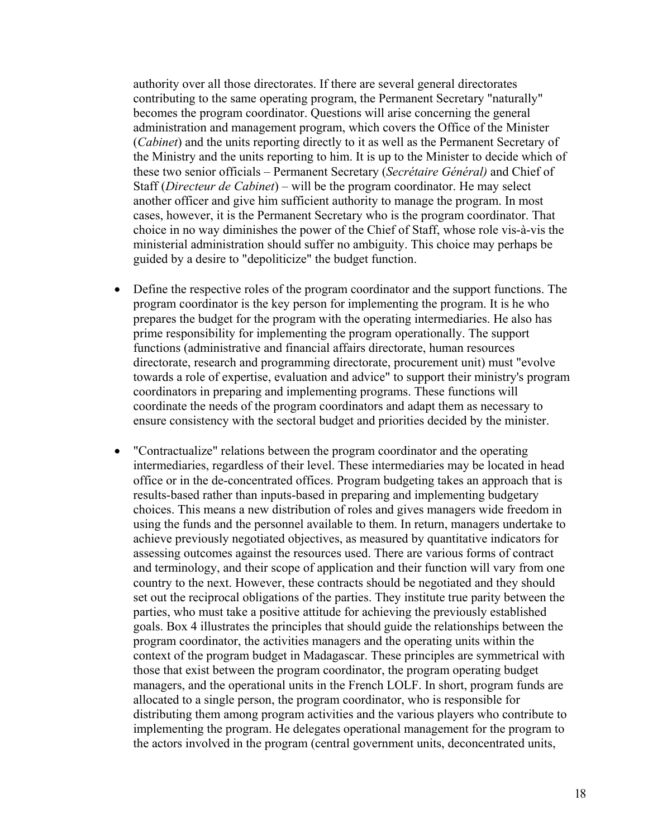authority over all those directorates. If there are several general directorates contributing to the same operating program, the Permanent Secretary "naturally" becomes the program coordinator. Questions will arise concerning the general administration and management program, which covers the Office of the Minister (*Cabinet*) and the units reporting directly to it as well as the Permanent Secretary of the Ministry and the units reporting to him. It is up to the Minister to decide which of these two senior officials – Permanent Secretary (*Secrétaire Général)* and Chief of Staff (*Directeur de Cabinet*) – will be the program coordinator. He may select another officer and give him sufficient authority to manage the program. In most cases, however, it is the Permanent Secretary who is the program coordinator. That choice in no way diminishes the power of the Chief of Staff, whose role vis-à-vis the ministerial administration should suffer no ambiguity. This choice may perhaps be guided by a desire to "depoliticize" the budget function.

- Define the respective roles of the program coordinator and the support functions. The program coordinator is the key person for implementing the program. It is he who prepares the budget for the program with the operating intermediaries. He also has prime responsibility for implementing the program operationally. The support functions (administrative and financial affairs directorate, human resources directorate, research and programming directorate, procurement unit) must "evolve towards a role of expertise, evaluation and advice" to support their ministry's program coordinators in preparing and implementing programs. These functions will coordinate the needs of the program coordinators and adapt them as necessary to ensure consistency with the sectoral budget and priorities decided by the minister.
- "Contractualize" relations between the program coordinator and the operating intermediaries, regardless of their level. These intermediaries may be located in head office or in the de-concentrated offices. Program budgeting takes an approach that is results-based rather than inputs-based in preparing and implementing budgetary choices. This means a new distribution of roles and gives managers wide freedom in using the funds and the personnel available to them. In return, managers undertake to achieve previously negotiated objectives, as measured by quantitative indicators for assessing outcomes against the resources used. There are various forms of contract and terminology, and their scope of application and their function will vary from one country to the next. However, these contracts should be negotiated and they should set out the reciprocal obligations of the parties. They institute true parity between the parties, who must take a positive attitude for achieving the previously established goals. Box 4 illustrates the principles that should guide the relationships between the program coordinator, the activities managers and the operating units within the context of the program budget in Madagascar. These principles are symmetrical with those that exist between the program coordinator, the program operating budget managers, and the operational units in the French LOLF. In short, program funds are allocated to a single person, the program coordinator, who is responsible for distributing them among program activities and the various players who contribute to implementing the program. He delegates operational management for the program to the actors involved in the program (central government units, deconcentrated units,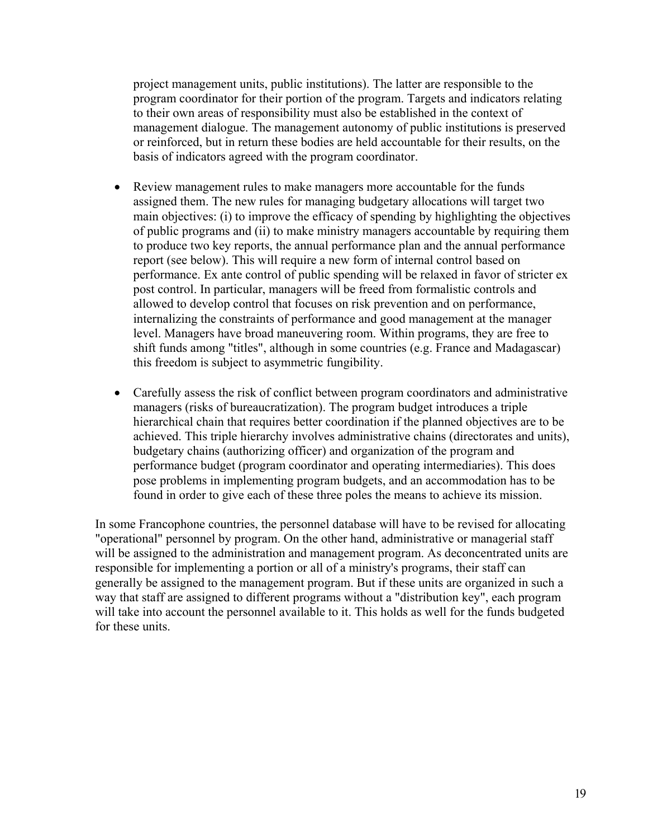project management units, public institutions). The latter are responsible to the program coordinator for their portion of the program. Targets and indicators relating to their own areas of responsibility must also be established in the context of management dialogue. The management autonomy of public institutions is preserved or reinforced, but in return these bodies are held accountable for their results, on the basis of indicators agreed with the program coordinator.

- Review management rules to make managers more accountable for the funds assigned them. The new rules for managing budgetary allocations will target two main objectives: (i) to improve the efficacy of spending by highlighting the objectives of public programs and (ii) to make ministry managers accountable by requiring them to produce two key reports, the annual performance plan and the annual performance report (see below). This will require a new form of internal control based on performance. Ex ante control of public spending will be relaxed in favor of stricter ex post control. In particular, managers will be freed from formalistic controls and allowed to develop control that focuses on risk prevention and on performance, internalizing the constraints of performance and good management at the manager level. Managers have broad maneuvering room. Within programs, they are free to shift funds among "titles", although in some countries (e.g. France and Madagascar) this freedom is subject to asymmetric fungibility.
- Carefully assess the risk of conflict between program coordinators and administrative managers (risks of bureaucratization). The program budget introduces a triple hierarchical chain that requires better coordination if the planned objectives are to be achieved. This triple hierarchy involves administrative chains (directorates and units), budgetary chains (authorizing officer) and organization of the program and performance budget (program coordinator and operating intermediaries). This does pose problems in implementing program budgets, and an accommodation has to be found in order to give each of these three poles the means to achieve its mission.

In some Francophone countries, the personnel database will have to be revised for allocating "operational" personnel by program. On the other hand, administrative or managerial staff will be assigned to the administration and management program. As deconcentrated units are responsible for implementing a portion or all of a ministry's programs, their staff can generally be assigned to the management program. But if these units are organized in such a way that staff are assigned to different programs without a "distribution key", each program will take into account the personnel available to it. This holds as well for the funds budgeted for these units.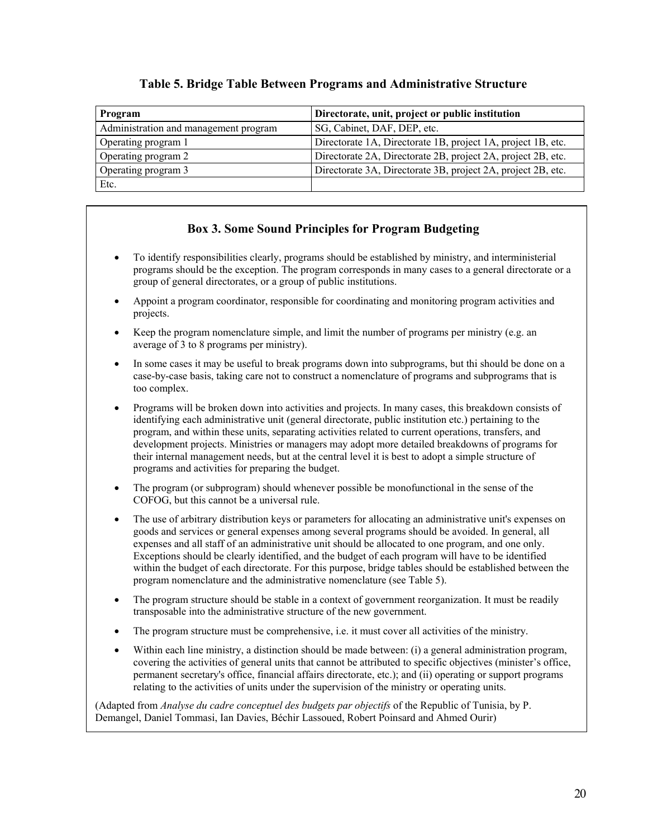| Program                               | Directorate, unit, project or public institution             |
|---------------------------------------|--------------------------------------------------------------|
| Administration and management program | SG, Cabinet, DAF, DEP, etc.                                  |
| Operating program 1                   | Directorate 1A, Directorate 1B, project 1A, project 1B, etc. |
| Operating program 2                   | Directorate 2A, Directorate 2B, project 2A, project 2B, etc. |
| Operating program 3                   | Directorate 3A, Directorate 3B, project 2A, project 2B, etc. |
| Etc.                                  |                                                              |

### **Table 5. Bridge Table Between Programs and Administrative Structure**

### **Box 3. Some Sound Principles for Program Budgeting**

- To identify responsibilities clearly, programs should be established by ministry, and interministerial programs should be the exception. The program corresponds in many cases to a general directorate or a group of general directorates, or a group of public institutions.
- Appoint a program coordinator, responsible for coordinating and monitoring program activities and projects.
- Keep the program nomenclature simple, and limit the number of programs per ministry (e.g. an average of 3 to 8 programs per ministry).
- In some cases it may be useful to break programs down into subprograms, but thi should be done on a case-by-case basis, taking care not to construct a nomenclature of programs and subprograms that is too complex.
- Programs will be broken down into activities and projects. In many cases, this breakdown consists of identifying each administrative unit (general directorate, public institution etc.) pertaining to the program, and within these units, separating activities related to current operations, transfers, and development projects. Ministries or managers may adopt more detailed breakdowns of programs for their internal management needs, but at the central level it is best to adopt a simple structure of programs and activities for preparing the budget.
- The program (or subprogram) should whenever possible be monofunctional in the sense of the COFOG, but this cannot be a universal rule.
- The use of arbitrary distribution keys or parameters for allocating an administrative unit's expenses on goods and services or general expenses among several programs should be avoided. In general, all expenses and all staff of an administrative unit should be allocated to one program, and one only. Exceptions should be clearly identified, and the budget of each program will have to be identified within the budget of each directorate. For this purpose, bridge tables should be established between the program nomenclature and the administrative nomenclature (see Table 5).
- The program structure should be stable in a context of government reorganization. It must be readily transposable into the administrative structure of the new government.
- The program structure must be comprehensive, i.e. it must cover all activities of the ministry.
- Within each line ministry, a distinction should be made between: (i) a general administration program, covering the activities of general units that cannot be attributed to specific objectives (minister's office, permanent secretary's office, financial affairs directorate, etc.); and (ii) operating or support programs relating to the activities of units under the supervision of the ministry or operating units.

(Adapted from *Analyse du cadre conceptuel des budgets par objectifs* of the Republic of Tunisia, by P. Demangel, Daniel Tommasi, Ian Davies, Béchir Lassoued, Robert Poinsard and Ahmed Ourir)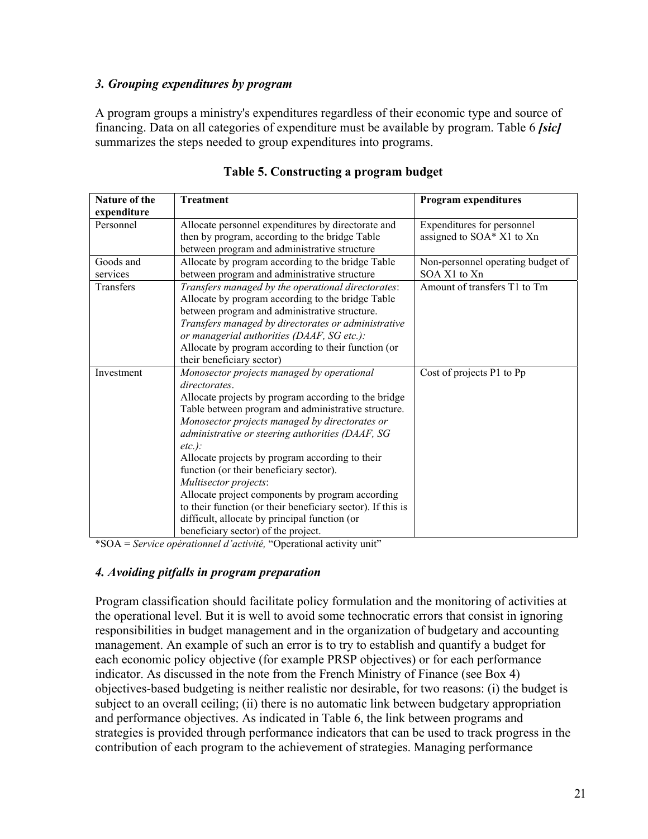# *3. Grouping expenditures by program*

A program groups a ministry's expenditures regardless of their economic type and source of financing. Data on all categories of expenditure must be available by program. Table 6 *[sic]* summarizes the steps needed to group expenditures into programs.

| <b>Nature of the</b>  | <b>Treatment</b>                                                                                                                                                                                                                                                                                                                                                                                                                                                                                                                                                                                                               | <b>Program expenditures</b>                             |
|-----------------------|--------------------------------------------------------------------------------------------------------------------------------------------------------------------------------------------------------------------------------------------------------------------------------------------------------------------------------------------------------------------------------------------------------------------------------------------------------------------------------------------------------------------------------------------------------------------------------------------------------------------------------|---------------------------------------------------------|
| expenditure           |                                                                                                                                                                                                                                                                                                                                                                                                                                                                                                                                                                                                                                |                                                         |
| Personnel             | Allocate personnel expenditures by directorate and<br>then by program, according to the bridge Table<br>between program and administrative structure                                                                                                                                                                                                                                                                                                                                                                                                                                                                           | Expenditures for personnel<br>assigned to SOA* X1 to Xn |
| Goods and<br>services | Allocate by program according to the bridge Table<br>between program and administrative structure                                                                                                                                                                                                                                                                                                                                                                                                                                                                                                                              | Non-personnel operating budget of<br>SOA X1 to Xn       |
| Transfers             | Transfers managed by the operational directorates:<br>Allocate by program according to the bridge Table<br>between program and administrative structure.<br>Transfers managed by directorates or administrative<br>or managerial authorities (DAAF, SG etc.):<br>Allocate by program according to their function (or<br>their beneficiary sector)                                                                                                                                                                                                                                                                              | Amount of transfers T1 to Tm                            |
| Investment            | Monosector projects managed by operational<br>directorates<br>Allocate projects by program according to the bridge<br>Table between program and administrative structure.<br>Monosector projects managed by directorates or<br>administrative or steering authorities (DAAF, SG<br>$etc.$ ):<br>Allocate projects by program according to their<br>function (or their beneficiary sector).<br>Multisector projects:<br>Allocate project components by program according<br>to their function (or their beneficiary sector). If this is<br>difficult, allocate by principal function (or<br>beneficiary sector) of the project. | Cost of projects P1 to Pp                               |

### **Table 5. Constructing a program budget**

\*SOA = *Service opérationnel d'activité,* "Operational activity unit"

### *4. Avoiding pitfalls in program preparation*

Program classification should facilitate policy formulation and the monitoring of activities at the operational level. But it is well to avoid some technocratic errors that consist in ignoring responsibilities in budget management and in the organization of budgetary and accounting management. An example of such an error is to try to establish and quantify a budget for each economic policy objective (for example PRSP objectives) or for each performance indicator. As discussed in the note from the French Ministry of Finance (see Box 4) objectives-based budgeting is neither realistic nor desirable, for two reasons: (i) the budget is subject to an overall ceiling; (ii) there is no automatic link between budgetary appropriation and performance objectives. As indicated in Table 6, the link between programs and strategies is provided through performance indicators that can be used to track progress in the contribution of each program to the achievement of strategies. Managing performance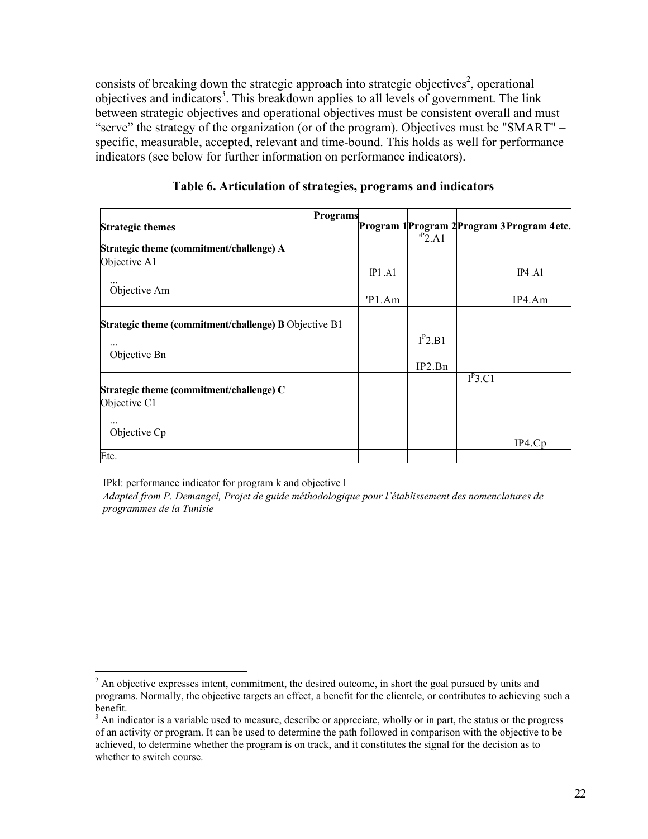consists of breaking down the strategic approach into strategic objectives<sup>2</sup>, operational objectives and indicators<sup>3</sup>. This breakdown applies to all levels of government. The link between strategic objectives and operational objectives must be consistent overall and must "serve" the strategy of the organization (or of the program). Objectives must be "SMART" – specific, measurable, accepted, relevant and time-bound. This holds as well for performance indicators (see below for further information on performance indicators).

| <b>Programs</b>                                              |        |                                              |            |        |  |
|--------------------------------------------------------------|--------|----------------------------------------------|------------|--------|--|
| <b>Strategic themes</b>                                      |        | Program 1 Program 2 Program 3 Program 4 etc. |            |        |  |
| Strategic theme (commitment/challenge) A                     |        | P <sub>2.A1</sub>                            |            |        |  |
| Objective A1                                                 | IP1.A1 |                                              |            | IP4.A1 |  |
| Objective Am                                                 | P1.Am  |                                              |            | IP4.Am |  |
| <b>Strategic theme (commitment/challenge) B</b> Objective B1 |        |                                              |            |        |  |
| $\ddotsc$<br>Objective Bn                                    |        | $I^P2.B1$<br>IP2.Bn                          |            |        |  |
| Strategic theme (commitment/challenge) C<br>Objective C1     |        |                                              | $I^P$ 3.C1 |        |  |
| Objective Cp                                                 |        |                                              |            | IP4.Cp |  |
| Etc.                                                         |        |                                              |            |        |  |

### **Table 6. Articulation of strategies, programs and indicators**

IPkl: performance indicator for program k and objective l

 $\overline{a}$ 

*Adapted from P. Demangel, Projet de guide méthodologique pour l'établissement des nomenclatures de programmes de la Tunisie*

 $2^{2}$  An objective expresses intent, commitment, the desired outcome, in short the goal pursued by units and programs. Normally, the objective targets an effect, a benefit for the clientele, or contributes to achieving such a benefit.

 $3$  An indicator is a variable used to measure, describe or appreciate, wholly or in part, the status or the progress of an activity or program. It can be used to determine the path followed in comparison with the objective to be achieved, to determine whether the program is on track, and it constitutes the signal for the decision as to whether to switch course.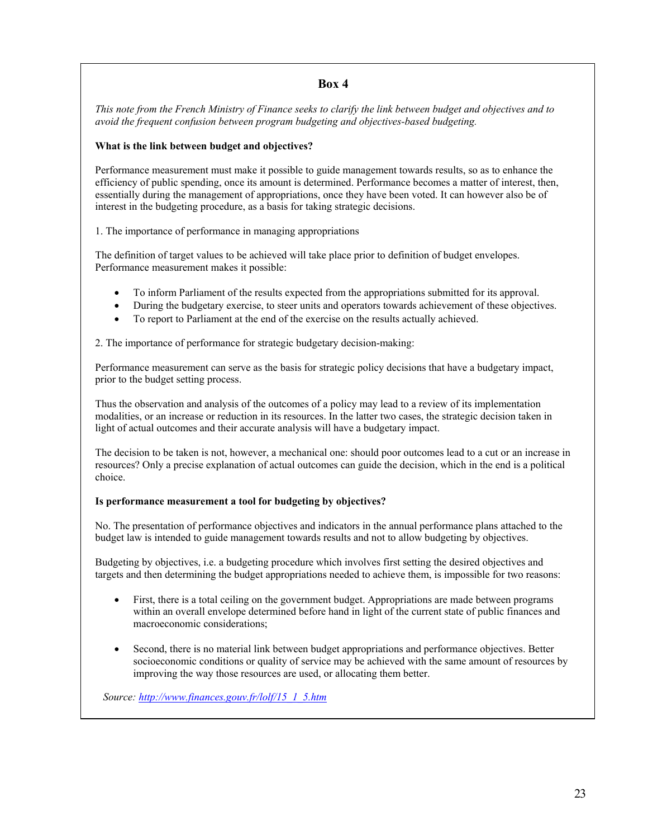#### **Box 4**

*This note from the French Ministry of Finance seeks to clarify the link between budget and objectives and to avoid the frequent confusion between program budgeting and objectives-based budgeting.* 

#### **What is the link between budget and objectives?**

Performance measurement must make it possible to guide management towards results, so as to enhance the efficiency of public spending, once its amount is determined. Performance becomes a matter of interest, then, essentially during the management of appropriations, once they have been voted. It can however also be of interest in the budgeting procedure, as a basis for taking strategic decisions.

1. The importance of performance in managing appropriations

The definition of target values to be achieved will take place prior to definition of budget envelopes. Performance measurement makes it possible:

- To inform Parliament of the results expected from the appropriations submitted for its approval.
- During the budgetary exercise, to steer units and operators towards achievement of these objectives.
- To report to Parliament at the end of the exercise on the results actually achieved.

2. The importance of performance for strategic budgetary decision-making:

Performance measurement can serve as the basis for strategic policy decisions that have a budgetary impact, prior to the budget setting process.

Thus the observation and analysis of the outcomes of a policy may lead to a review of its implementation modalities, or an increase or reduction in its resources. In the latter two cases, the strategic decision taken in light of actual outcomes and their accurate analysis will have a budgetary impact.

The decision to be taken is not, however, a mechanical one: should poor outcomes lead to a cut or an increase in resources? Only a precise explanation of actual outcomes can guide the decision, which in the end is a political choice.

#### **Is performance measurement a tool for budgeting by objectives?**

No. The presentation of performance objectives and indicators in the annual performance plans attached to the budget law is intended to guide management towards results and not to allow budgeting by objectives.

Budgeting by objectives, i.e. a budgeting procedure which involves first setting the desired objectives and targets and then determining the budget appropriations needed to achieve them, is impossible for two reasons:

- First, there is a total ceiling on the government budget. Appropriations are made between programs within an overall envelope determined before hand in light of the current state of public finances and macroeconomic considerations;
- Second, there is no material link between budget appropriations and performance objectives. Better socioeconomic conditions or quality of service may be achieved with the same amount of resources by improving the way those resources are used, or allocating them better.

*Source: http://www.finances.gouv.fr/lolf/15\_1\_5.htm*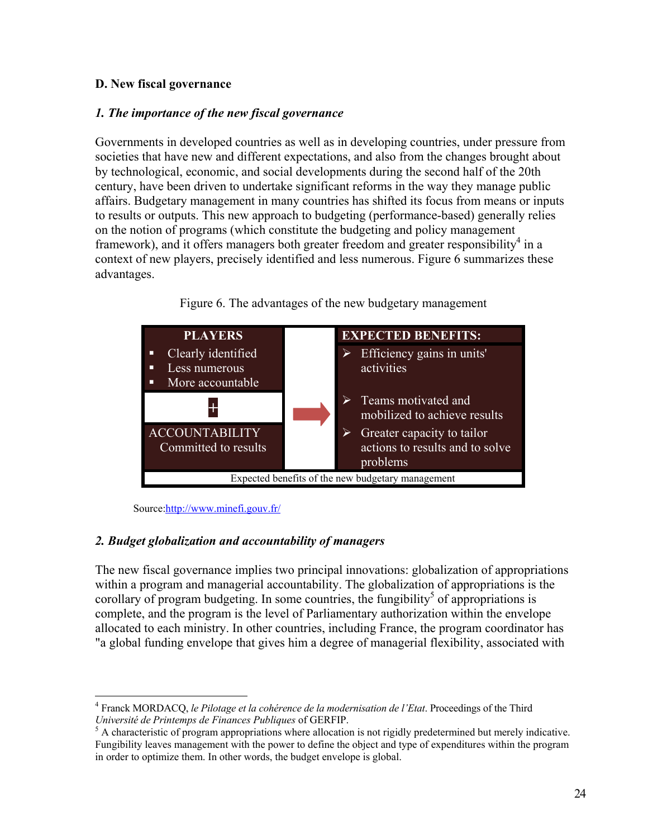# **D. New fiscal governance**

# *1. The importance of the new fiscal governance*

Governments in developed countries as well as in developing countries, under pressure from societies that have new and different expectations, and also from the changes brought about by technological, economic, and social developments during the second half of the 20th century, have been driven to undertake significant reforms in the way they manage public affairs. Budgetary management in many countries has shifted its focus from means or inputs to results or outputs. This new approach to budgeting (performance-based) generally relies on the notion of programs (which constitute the budgeting and policy management framework), and it offers managers both greater freedom and greater responsibility<sup>4</sup> in a context of new players, precisely identified and less numerous. Figure 6 summarizes these advantages.



Figure 6. The advantages of the new budgetary management

# *2. Budget globalization and accountability of managers*

The new fiscal governance implies two principal innovations: globalization of appropriations within a program and managerial accountability. The globalization of appropriations is the corollary of program budgeting. In some countries, the fungibility<sup>5</sup> of appropriations is complete, and the program is the level of Parliamentary authorization within the envelope allocated to each ministry. In other countries, including France, the program coordinator has "a global funding envelope that gives him a degree of managerial flexibility, associated with

Source:http://www.minefi.gouv.fr/

<sup>1</sup> 4 Franck MORDACQ, *le Pilotage et la cohérence de la modernisation de l'Etat*. Proceedings of the Third *Université de Printemps de Finances Publiques* of GERFIP. 5

<sup>&</sup>lt;sup>5</sup> A characteristic of program appropriations where allocation is not rigidly predetermined but merely indicative. Fungibility leaves management with the power to define the object and type of expenditures within the program in order to optimize them. In other words, the budget envelope is global.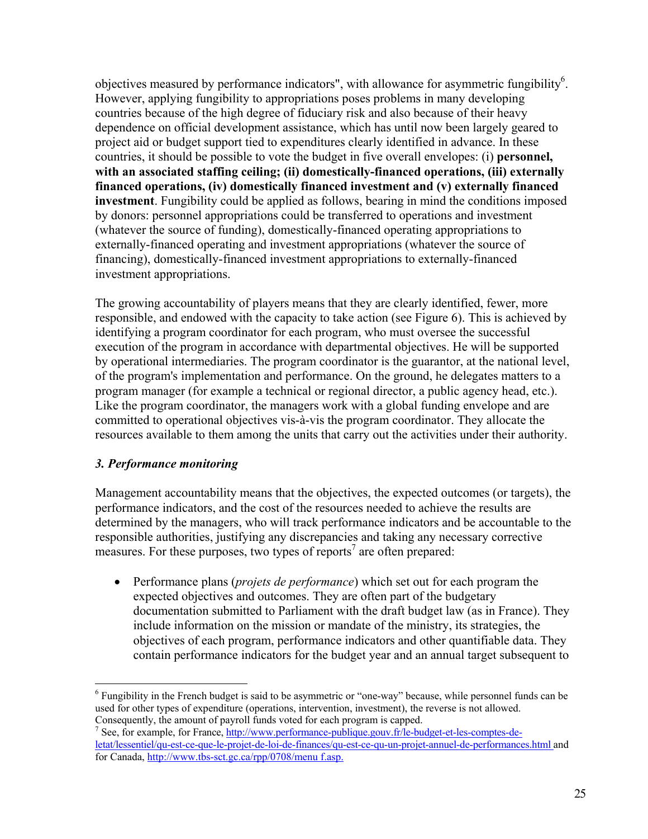objectives measured by performance indicators", with allowance for asymmetric fungibility<sup>6</sup>. However, applying fungibility to appropriations poses problems in many developing countries because of the high degree of fiduciary risk and also because of their heavy dependence on official development assistance, which has until now been largely geared to project aid or budget support tied to expenditures clearly identified in advance. In these countries, it should be possible to vote the budget in five overall envelopes: (i) **personnel, with an associated staffing ceiling; (ii) domestically-financed operations, (iii) externally financed operations, (iv) domestically financed investment and (v) externally financed investment**. Fungibility could be applied as follows, bearing in mind the conditions imposed by donors: personnel appropriations could be transferred to operations and investment (whatever the source of funding), domestically-financed operating appropriations to externally-financed operating and investment appropriations (whatever the source of financing), domestically-financed investment appropriations to externally-financed investment appropriations.

The growing accountability of players means that they are clearly identified, fewer, more responsible, and endowed with the capacity to take action (see Figure 6). This is achieved by identifying a program coordinator for each program, who must oversee the successful execution of the program in accordance with departmental objectives. He will be supported by operational intermediaries. The program coordinator is the guarantor, at the national level, of the program's implementation and performance. On the ground, he delegates matters to a program manager (for example a technical or regional director, a public agency head, etc.). Like the program coordinator, the managers work with a global funding envelope and are committed to operational objectives vis-à-vis the program coordinator. They allocate the resources available to them among the units that carry out the activities under their authority.

# *3. Performance monitoring*

Management accountability means that the objectives, the expected outcomes (or targets), the performance indicators, and the cost of the resources needed to achieve the results are determined by the managers, who will track performance indicators and be accountable to the responsible authorities, justifying any discrepancies and taking any necessary corrective measures. For these purposes, two types of reports<sup>7</sup> are often prepared:

 Performance plans (*projets de performance*) which set out for each program the expected objectives and outcomes. They are often part of the budgetary documentation submitted to Parliament with the draft budget law (as in France). They include information on the mission or mandate of the ministry, its strategies, the objectives of each program, performance indicators and other quantifiable data. They contain performance indicators for the budget year and an annual target subsequent to

 $\overline{a}$ <sup>6</sup> Fungibility in the French budget is said to be asymmetric or "one-way" because, while personnel funds can be used for other types of expenditure (operations, intervention, investment), the reverse is not allowed. Consequently, the amount of payroll funds voted for each program is capped.

<sup>&</sup>lt;sup>7</sup> See, for example, for France, http://www.performance-publique.gouv.fr/le-budget-et-les-comptes-deletat/lessentiel/qu-est-ce-que-le-projet-de-loi-de-finances/qu-est-ce-qu-un-projet-annuel-de-performances.html and for Canada, http://www.tbs-sct.gc.ca/rpp/0708/menu f.asp.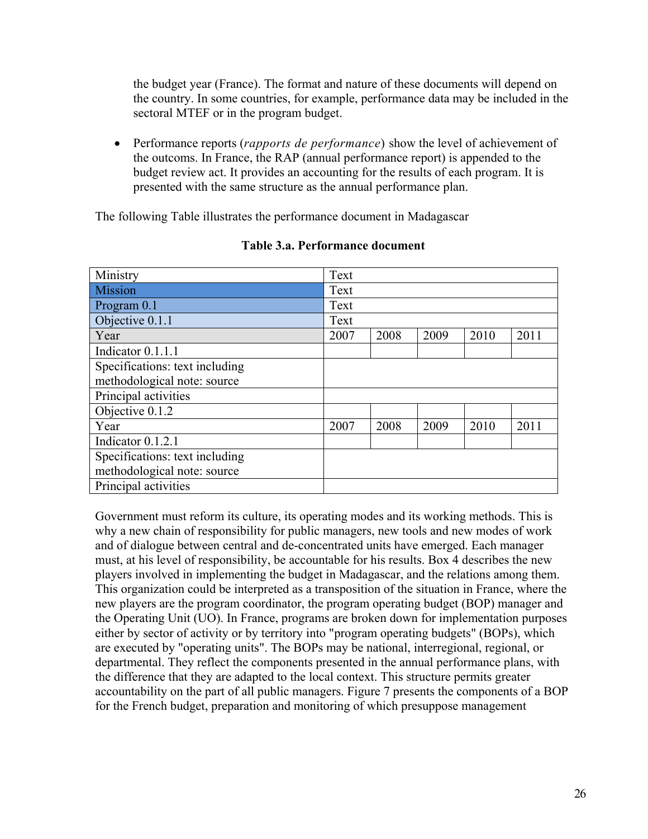the budget year (France). The format and nature of these documents will depend on the country. In some countries, for example, performance data may be included in the sectoral MTEF or in the program budget.

 Performance reports (*rapports de performance*) show the level of achievement of the outcoms. In France, the RAP (annual performance report) is appended to the budget review act. It provides an accounting for the results of each program. It is presented with the same structure as the annual performance plan.

The following Table illustrates the performance document in Madagascar

| Ministry                       | Text |      |      |      |      |
|--------------------------------|------|------|------|------|------|
| <b>Mission</b>                 | Text |      |      |      |      |
| Program 0.1                    | Text |      |      |      |      |
| Objective 0.1.1                | Text |      |      |      |      |
| Year                           | 2007 | 2008 | 2009 | 2010 | 2011 |
| Indicator 0.1.1.1              |      |      |      |      |      |
| Specifications: text including |      |      |      |      |      |
| methodological note: source    |      |      |      |      |      |
| Principal activities           |      |      |      |      |      |
| Objective $0.1.2$              |      |      |      |      |      |
| Year                           | 2007 | 2008 | 2009 | 2010 | 2011 |
| Indicator $0.1.2.1$            |      |      |      |      |      |
| Specifications: text including |      |      |      |      |      |
| methodological note: source    |      |      |      |      |      |
| Principal activities           |      |      |      |      |      |

**Table 3.a. Performance document** 

Government must reform its culture, its operating modes and its working methods. This is why a new chain of responsibility for public managers, new tools and new modes of work and of dialogue between central and de-concentrated units have emerged. Each manager must, at his level of responsibility, be accountable for his results. Box 4 describes the new players involved in implementing the budget in Madagascar, and the relations among them. This organization could be interpreted as a transposition of the situation in France, where the new players are the program coordinator, the program operating budget (BOP) manager and the Operating Unit (UO). In France, programs are broken down for implementation purposes either by sector of activity or by territory into "program operating budgets" (BOPs), which are executed by "operating units". The BOPs may be national, interregional, regional, or departmental. They reflect the components presented in the annual performance plans, with the difference that they are adapted to the local context. This structure permits greater accountability on the part of all public managers. Figure 7 presents the components of a BOP for the French budget, preparation and monitoring of which presuppose management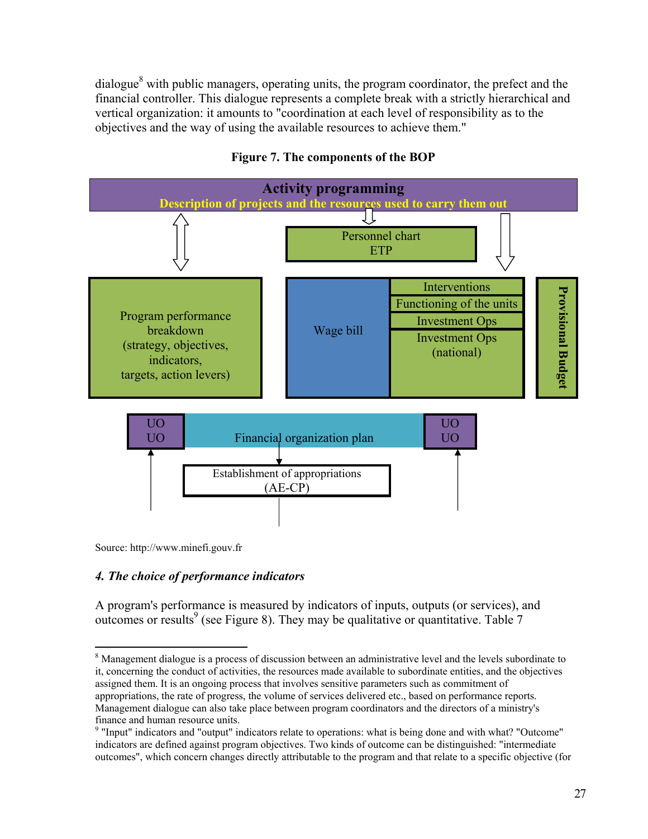dialogue<sup>8</sup> with public managers, operating units, the program coordinator, the prefect and the financial controller. This dialogue represents a complete break with a strictly hierarchical and vertical organization: it amounts to "coordination at each level of responsibility as to the objectives and the way of using the available resources to achieve them."



# **Figure 7. The components of the BOP**

Source: http://www.minefi.gouv.fr

 $\overline{a}$ 

# *4. The choice of performance indicators*

A program's performance is measured by indicators of inputs, outputs (or services), and outcomes or results<sup>9</sup> (see Figure 8). They may be qualitative or quantitative. Table 7

<sup>&</sup>lt;sup>8</sup> Management dialogue is a process of discussion between an administrative level and the levels subordinate to it, concerning the conduct of activities, the resources made available to subordinate entities, and the objectives assigned them. It is an ongoing process that involves sensitive parameters such as commitment of appropriations, the rate of progress, the volume of services delivered etc., based on performance reports. Management dialogue can also take place between program coordinators and the directors of a ministry's finance and human resource units.

<sup>&</sup>lt;sup>9</sup> "Input" indicators and "output" indicators relate to operations: what is being done and with what? "Outcome" indicators are defined against program objectives. Two kinds of outcome can be distinguished: "intermediate outcomes", which concern changes directly attributable to the program and that relate to a specific objective (for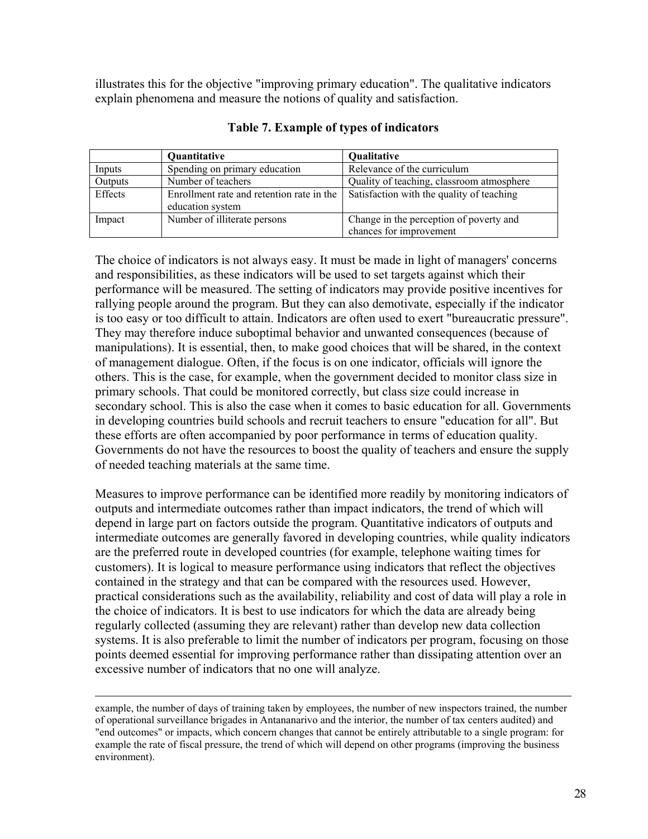illustrates this for the objective "improving primary education". The qualitative indicators explain phenomena and measure the notions of quality and satisfaction.

|         | <b>Ouantitative</b>                       | <b>Oualitative</b>                        |
|---------|-------------------------------------------|-------------------------------------------|
| Inputs  | Spending on primary education             | Relevance of the curriculum               |
| Outputs | Number of teachers                        | Quality of teaching, classroom atmosphere |
| Effects | Enrollment rate and retention rate in the | Satisfaction with the quality of teaching |
|         | education system                          |                                           |
| Impact  | Number of illiterate persons              | Change in the perception of poverty and   |
|         |                                           | chances for improvement                   |

### **Table 7. Example of types of indicators**

The choice of indicators is not always easy. It must be made in light of managers' concerns and responsibilities, as these indicators will be used to set targets against which their performance will be measured. The setting of indicators may provide positive incentives for rallying people around the program. But they can also demotivate, especially if the indicator is too easy or too difficult to attain. Indicators are often used to exert "bureaucratic pressure". They may therefore induce suboptimal behavior and unwanted consequences (because of manipulations). It is essential, then, to make good choices that will be shared, in the context of management dialogue. Often, if the focus is on one indicator, officials will ignore the others. This is the case, for example, when the government decided to monitor class size in primary schools. That could be monitored correctly, but class size could increase in secondary school. This is also the case when it comes to basic education for all. Governments in developing countries build schools and recruit teachers to ensure "education for all". But these efforts are often accompanied by poor performance in terms of education quality. Governments do not have the resources to boost the quality of teachers and ensure the supply of needed teaching materials at the same time.

Measures to improve performance can be identified more readily by monitoring indicators of outputs and intermediate outcomes rather than impact indicators, the trend of which will depend in large part on factors outside the program. Quantitative indicators of outputs and intermediate outcomes are generally favored in developing countries, while quality indicators are the preferred route in developed countries (for example, telephone waiting times for customers). It is logical to measure performance using indicators that reflect the objectives contained in the strategy and that can be compared with the resources used. However, practical considerations such as the availability, reliability and cost of data will play a role in the choice of indicators. It is best to use indicators for which the data are already being regularly collected (assuming they are relevant) rather than develop new data collection systems. It is also preferable to limit the number of indicators per program, focusing on those points deemed essential for improving performance rather than dissipating attention over an excessive number of indicators that no one will analyze.

example, the number of days of training taken by employees, the number of new inspectors trained, the number of operational surveillance brigades in Antananarivo and the interior, the number of tax centers audited) and "end outcomes" or impacts, which concern changes that cannot be entirely attributable to a single program: for example the rate of fiscal pressure, the trend of which will depend on other programs (improving the business environment).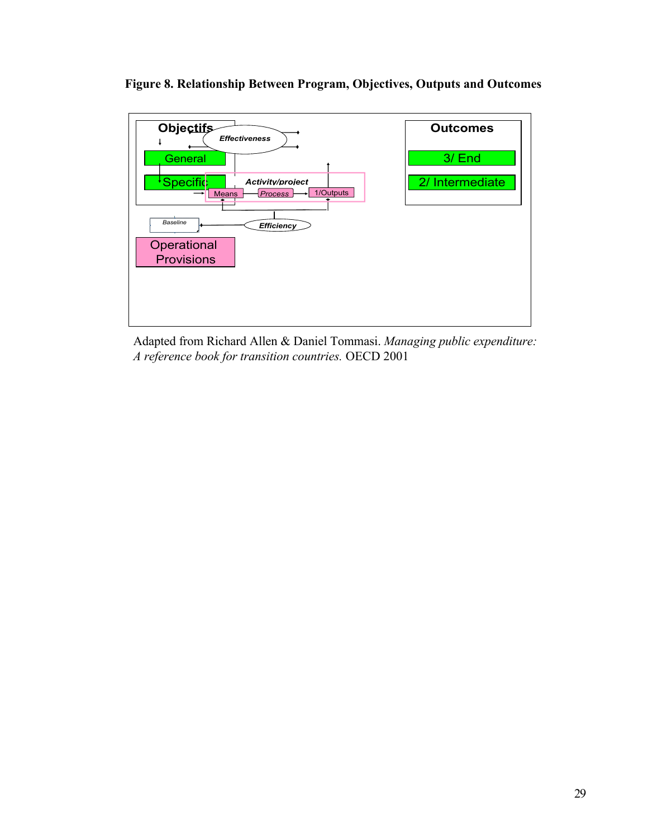**Figure 8. Relationship Between Program, Objectives, Outputs and Outcomes** 



Adapted from Richard Allen & Daniel Tommasi. *Managing public expenditure: A reference book for transition countries.* OECD 2001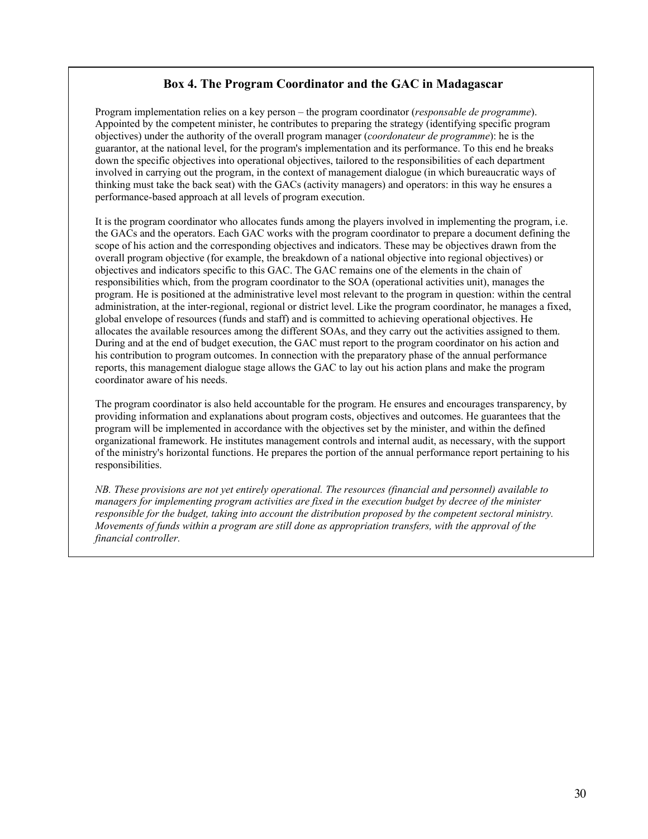### **Box 4. The Program Coordinator and the GAC in Madagascar**

Program implementation relies on a key person – the program coordinator (*responsable de programme*). Appointed by the competent minister, he contributes to preparing the strategy (identifying specific program objectives) under the authority of the overall program manager (*coordonateur de programme*): he is the guarantor, at the national level, for the program's implementation and its performance. To this end he breaks down the specific objectives into operational objectives, tailored to the responsibilities of each department involved in carrying out the program, in the context of management dialogue (in which bureaucratic ways of thinking must take the back seat) with the GACs (activity managers) and operators: in this way he ensures a performance-based approach at all levels of program execution.

It is the program coordinator who allocates funds among the players involved in implementing the program, i.e. the GACs and the operators. Each GAC works with the program coordinator to prepare a document defining the scope of his action and the corresponding objectives and indicators. These may be objectives drawn from the overall program objective (for example, the breakdown of a national objective into regional objectives) or objectives and indicators specific to this GAC. The GAC remains one of the elements in the chain of responsibilities which, from the program coordinator to the SOA (operational activities unit), manages the program. He is positioned at the administrative level most relevant to the program in question: within the central administration, at the inter-regional, regional or district level. Like the program coordinator, he manages a fixed, global envelope of resources (funds and staff) and is committed to achieving operational objectives. He allocates the available resources among the different SOAs, and they carry out the activities assigned to them. During and at the end of budget execution, the GAC must report to the program coordinator on his action and his contribution to program outcomes. In connection with the preparatory phase of the annual performance reports, this management dialogue stage allows the GAC to lay out his action plans and make the program coordinator aware of his needs.

The program coordinator is also held accountable for the program. He ensures and encourages transparency, by providing information and explanations about program costs, objectives and outcomes. He guarantees that the program will be implemented in accordance with the objectives set by the minister, and within the defined organizational framework. He institutes management controls and internal audit, as necessary, with the support of the ministry's horizontal functions. He prepares the portion of the annual performance report pertaining to his responsibilities.

*NB. These provisions are not yet entirely operational. The resources (financial and personnel) available to managers for implementing program activities are fixed in the execution budget by decree of the minister responsible for the budget, taking into account the distribution proposed by the competent sectoral ministry. Movements of funds within a program are still done as appropriation transfers, with the approval of the financial controller.*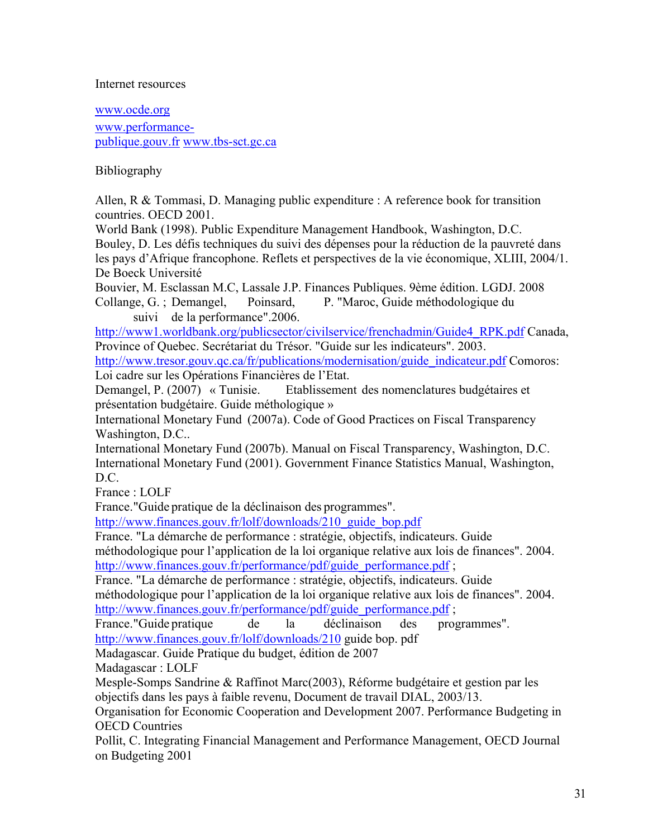### Internet resources

www.ocde.org www.performancepublique.gouv.fr www.tbs-sct.gc.ca

**Bibliography** 

Allen, R & Tommasi, D. Managing public expenditure : A reference book for transition countries. OECD 2001.

World Bank (1998). Public Expenditure Management Handbook, Washington, D.C. Bouley, D. Les défis techniques du suivi des dépenses pour la réduction de la pauvreté dans les pays d'Afrique francophone. Reflets et perspectives de la vie économique, XLIII, 2004/1. De Boeck Université

Bouvier, M. Esclassan M.C, Lassale J.P. Finances Publiques. 9ème édition. LGDJ. 2008

Collange, G. ; Demangel, Poinsard, P. "Maroc, Guide méthodologique du suivi de la performance".2006.

http://www1.worldbank.org/publicsector/civilservice/frenchadmin/Guide4\_RPK.pdf Canada, Province of Quebec. Secrétariat du Trésor. "Guide sur les indicateurs". 2003.

http://www.tresor.gouv.qc.ca/fr/publications/modernisation/guide\_indicateur.pdf Comoros: Loi cadre sur les Opérations Financières de l'Etat.

Demangel, P. (2007) « Tunisie. Etablissement des nomenclatures budgétaires et présentation budgétaire. Guide méthologique »

International Monetary Fund (2007a). Code of Good Practices on Fiscal Transparency Washington, D.C..

International Monetary Fund (2007b). Manual on Fiscal Transparency, Washington, D.C. International Monetary Fund (2001). Government Finance Statistics Manual, Washington, D.C.

France : LOLF

France. "Guide pratique de la déclinaison des programmes".

http://www.finances.gouv.fr/lolf/downloads/210\_guide\_bop.pdf

France. "La démarche de performance : stratégie, objectifs, indicateurs. Guide méthodologique pour l'application de la loi organique relative aux lois de finances". 2004.

http://www.finances.gouv.fr/performance/pdf/guide\_performance.pdf;

France. "La démarche de performance : stratégie, objectifs, indicateurs. Guide méthodologique pour l'application de la loi organique relative aux lois de finances". 2004. http://www.finances.gouv.fr/performance/pdf/guide\_performance.pdf;

France. "Guide pratique de la déclinaison des programmes".

http://www.finances.gouv.fr/lolf/downloads/210 guide bop. pdf

Madagascar. Guide Pratique du budget, édition de 2007

Madagascar : LOLF

Mesple-Somps Sandrine & Raffinot Marc(2003), Réforme budgétaire et gestion par les objectifs dans les pays à faible revenu, Document de travail DIAL, 2003/13.

Organisation for Economic Cooperation and Development 2007. Performance Budgeting in OECD Countries

Pollit, C. Integrating Financial Management and Performance Management, OECD Journal on Budgeting 2001